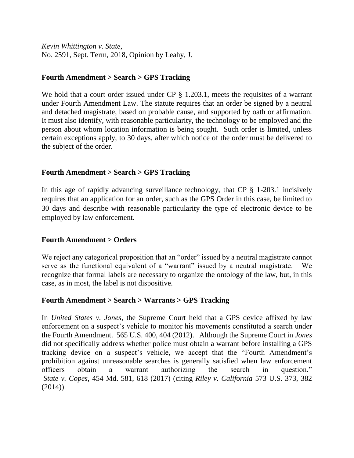*Kevin Whittington v. State*, No. 2591, Sept. Term, 2018, Opinion by Leahy, J.

# **Fourth Amendment > Search > GPS Tracking**

We hold that a court order issued under CP § 1.203.1, meets the requisites of a warrant under Fourth Amendment Law. The statute requires that an order be signed by a neutral and detached magistrate, based on probable cause, and supported by oath or affirmation. It must also identify, with reasonable particularity, the technology to be employed and the person about whom location information is being sought. Such order is limited, unless certain exceptions apply, to 30 days, after which notice of the order must be delivered to the subject of the order.

# **Fourth Amendment > Search > GPS Tracking**

In this age of rapidly advancing surveillance technology, that CP § 1-203.1 incisively requires that an application for an order, such as the GPS Order in this case, be limited to 30 days and describe with reasonable particularity the type of electronic device to be employed by law enforcement.

# **Fourth Amendment > Orders**

We reject any categorical proposition that an "order" issued by a neutral magistrate cannot serve as the functional equivalent of a "warrant" issued by a neutral magistrate. We recognize that formal labels are necessary to organize the ontology of the law, but, in this case, as in most, the label is not dispositive.

# **Fourth Amendment > Search > Warrants > GPS Tracking**

In *United States v. Jones*, the Supreme Court held that a GPS device affixed by law enforcement on a suspect's vehicle to monitor his movements constituted a search under the Fourth Amendment. 565 U.S. 400, 404 (2012). Although the Supreme Court in *Jones* did not specifically address whether police must obtain a warrant before installing a GPS tracking device on a suspect's vehicle, we accept that the "Fourth Amendment's prohibition against unreasonable searches is generally satisfied when law enforcement officers obtain a warrant authorizing the search in question." *State v. Copes*, 454 Md. 581, 618 (2017) (citing *Riley v. California* 573 U.S. 373, 382  $(2014)$ ).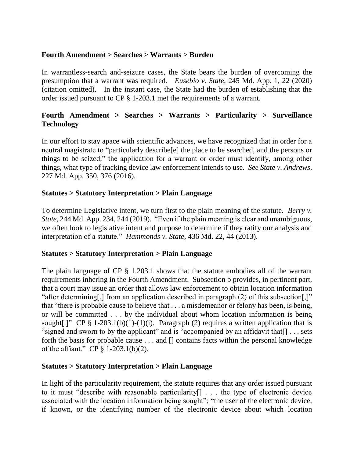# **Fourth Amendment > Searches > Warrants > Burden**

In warrantless-search and-seizure cases, the State bears the burden of overcoming the presumption that a warrant was required. *Eusebio v. State*, 245 Md. App. 1, 22 (2020) (citation omitted). In the instant case, the State had the burden of establishing that the order issued pursuant to CP § 1-203.1 met the requirements of a warrant.

# **Fourth Amendment > Searches > Warrants > Particularity > Surveillance Technology**

In our effort to stay apace with scientific advances, we have recognized that in order for a neutral magistrate to "particularly describe[e] the place to be searched, and the persons or things to be seized," the application for a warrant or order must identify, among other things, what type of tracking device law enforcement intends to use. *See State v. Andrews*, 227 Md. App. 350, 376 (2016).

# **Statutes > Statutory Interpretation > Plain Language**

To determine Legislative intent, we turn first to the plain meaning of the statute. *Berry v. State*, 244 Md. App. 234, 244 (2019). "Even if the plain meaning is clear and unambiguous, we often look to legislative intent and purpose to determine if they ratify our analysis and interpretation of a statute." *Hammonds v. State*, 436 Md. 22, 44 (2013).

# **Statutes > Statutory Interpretation > Plain Language**

The plain language of CP § 1.203.1 shows that the statute embodies all of the warrant requirements inhering in the Fourth Amendment. Subsection b provides, in pertinent part, that a court may issue an order that allows law enforcement to obtain location information "after determining[,] from an application described in paragraph (2) of this subsection[,]" that "there is probable cause to believe that . . . a misdemeanor or felony has been, is being, or will be committed . . . by the individual about whom location information is being sought[.]" CP  $\S$  1-203.1(b)(1)-(1)(i). Paragraph (2) requires a written application that is "signed and sworn to by the applicant" and is "accompanied by an affidavit that[] . . . sets forth the basis for probable cause . . . and [] contains facts within the personal knowledge of the affiant." CP § 1-203.1(b)(2).

# **Statutes > Statutory Interpretation > Plain Language**

In light of the particularity requirement, the statute requires that any order issued pursuant to it must "describe with reasonable particularity[] . . . the type of electronic device associated with the location information being sought"; "the user of the electronic device, if known, or the identifying number of the electronic device about which location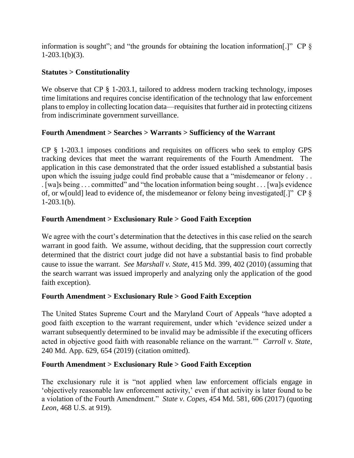information is sought"; and "the grounds for obtaining the location information.]" CP  $\S$  $1-203.1(b)(3)$ .

# **Statutes > Constitutionality**

We observe that CP § 1-203.1, tailored to address modern tracking technology, imposes time limitations and requires concise identification of the technology that law enforcement plans to employ in collecting location data—requisites that further aid in protecting citizens from indiscriminate government surveillance.

# **Fourth Amendment > Searches > Warrants > Sufficiency of the Warrant**

CP § 1-203.1 imposes conditions and requisites on officers who seek to employ GPS tracking devices that meet the warrant requirements of the Fourth Amendment. The application in this case demonstrated that the order issued established a substantial basis upon which the issuing judge could find probable cause that a "misdemeanor or felony . . . [wa]s being . . . committed" and "the location information being sought . . . [wa]s evidence of, or w[ould] lead to evidence of, the misdemeanor or felony being investigated[.]" CP §  $1-203.1(b)$ .

# **Fourth Amendment > Exclusionary Rule > Good Faith Exception**

We agree with the court's determination that the detectives in this case relied on the search warrant in good faith. We assume, without deciding, that the suppression court correctly determined that the district court judge did not have a substantial basis to find probable cause to issue the warrant. *See Marshall v. State*, 415 Md. 399, 402 (2010) (assuming that the search warrant was issued improperly and analyzing only the application of the good faith exception).

# **Fourth Amendment > Exclusionary Rule > Good Faith Exception**

The United States Supreme Court and the Maryland Court of Appeals "have adopted a good faith exception to the warrant requirement, under which 'evidence seized under a warrant subsequently determined to be invalid may be admissible if the executing officers acted in objective good faith with reasonable reliance on the warrant.'" *Carroll v. State*, 240 Md. App. 629, 654 (2019) (citation omitted).

# **Fourth Amendment > Exclusionary Rule > Good Faith Exception**

The exclusionary rule it is "not applied when law enforcement officials engage in 'objectively reasonable law enforcement activity,' even if that activity is later found to be a violation of the Fourth Amendment." *State v. Copes*, 454 Md. 581, 606 (2017) (quoting *Leon*, 468 U.S. at 919).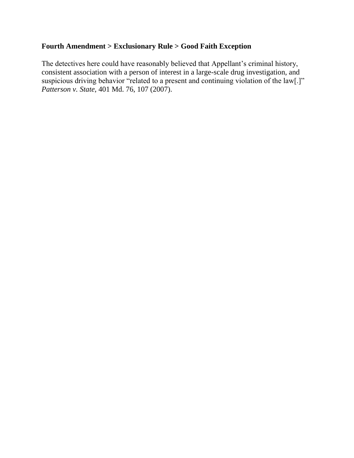# **Fourth Amendment > Exclusionary Rule > Good Faith Exception**

The detectives here could have reasonably believed that Appellant's criminal history, consistent association with a person of interest in a large-scale drug investigation, and suspicious driving behavior "related to a present and continuing violation of the law[.]" *Patterson v. State*, 401 Md. 76, 107 (2007).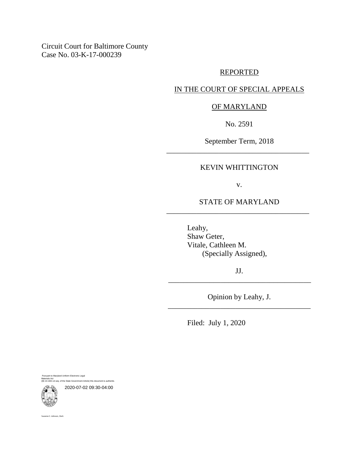Circuit Court for Baltimore County Case No. 03-K-17-000239

### REPORTED

### IN THE COURT OF SPECIAL APPEALS

### OF MARYLAND

No. 2591

September Term, 2018 \_\_\_\_\_\_\_\_\_\_\_\_\_\_\_\_\_\_\_\_\_\_\_\_\_\_\_\_\_\_\_\_\_\_\_\_\_\_

### KEVIN WHITTINGTON

v.

# STATE OF MARYLAND \_\_\_\_\_\_\_\_\_\_\_\_\_\_\_\_\_\_\_\_\_\_\_\_\_\_\_\_\_\_\_\_\_\_\_\_\_\_

Leahy, Shaw Geter, Vitale, Cathleen M. (Specially Assigned),

JJ. \_\_\_\_\_\_\_\_\_\_\_\_\_\_\_\_\_\_\_\_\_\_\_\_\_\_\_\_\_\_\_\_\_\_\_\_\_\_

Opinion by Leahy, J. \_\_\_\_\_\_\_\_\_\_\_\_\_\_\_\_\_\_\_\_\_\_\_\_\_\_\_\_\_\_\_\_\_\_\_\_\_\_

Filed: July 1, 2020

Pursuant to Maryland Uniform Electronic Legal Materials Act <sub>(s</sub><br>et seq. of the State Government Article) this document is authentic

2020-07-02 09:30-04:00



Suzanne C. Johnson, Clerk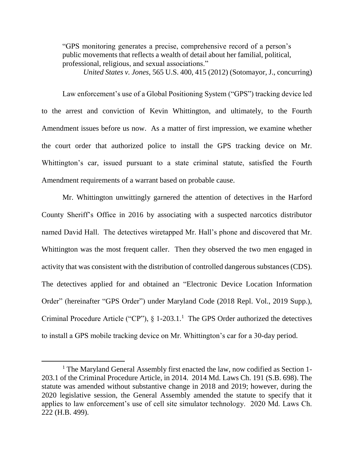"GPS monitoring generates a precise, comprehensive record of a person's public movements that reflects a wealth of detail about her familial, political, professional, religious, and sexual associations."

*United States v. Jones*, 565 U.S. 400, 415 (2012) (Sotomayor, J., concurring)

Law enforcement's use of a Global Positioning System ("GPS") tracking device led to the arrest and conviction of Kevin Whittington, and ultimately, to the Fourth Amendment issues before us now. As a matter of first impression, we examine whether the court order that authorized police to install the GPS tracking device on Mr. Whittington's car, issued pursuant to a state criminal statute, satisfied the Fourth Amendment requirements of a warrant based on probable cause.

Mr. Whittington unwittingly garnered the attention of detectives in the Harford County Sheriff's Office in 2016 by associating with a suspected narcotics distributor named David Hall. The detectives wiretapped Mr. Hall's phone and discovered that Mr. Whittington was the most frequent caller. Then they observed the two men engaged in activity that was consistent with the distribution of controlled dangerous substances (CDS). The detectives applied for and obtained an "Electronic Device Location Information Order" (hereinafter "GPS Order") under Maryland Code (2018 Repl. Vol., 2019 Supp.), Criminal Procedure Article ("CP"),  $\S$  1-203.1.<sup>1</sup> The GPS Order authorized the detectives to install a GPS mobile tracking device on Mr. Whittington's car for a 30-day period.

 $\overline{a}$ 

<sup>&</sup>lt;sup>1</sup> The Maryland General Assembly first enacted the law, now codified as Section 1-203.1 of the Criminal Procedure Article, in 2014. 2014 Md. Laws Ch. 191 (S.B. 698). The statute was amended without substantive change in 2018 and 2019; however, during the 2020 legislative session, the General Assembly amended the statute to specify that it applies to law enforcement's use of cell site simulator technology. 2020 Md. Laws Ch. 222 (H.B. 499).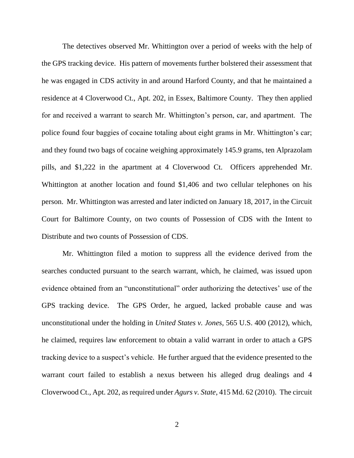The detectives observed Mr. Whittington over a period of weeks with the help of the GPS tracking device. His pattern of movements further bolstered their assessment that he was engaged in CDS activity in and around Harford County, and that he maintained a residence at 4 Cloverwood Ct., Apt. 202, in Essex, Baltimore County. They then applied for and received a warrant to search Mr. Whittington's person, car, and apartment. The police found four baggies of cocaine totaling about eight grams in Mr. Whittington's car; and they found two bags of cocaine weighing approximately 145.9 grams, ten Alprazolam pills, and \$1,222 in the apartment at 4 Cloverwood Ct. Officers apprehended Mr. Whittington at another location and found \$1,406 and two cellular telephones on his person. Mr. Whittington was arrested and later indicted on January 18, 2017, in the Circuit Court for Baltimore County, on two counts of Possession of CDS with the Intent to Distribute and two counts of Possession of CDS.

Mr. Whittington filed a motion to suppress all the evidence derived from the searches conducted pursuant to the search warrant, which, he claimed, was issued upon evidence obtained from an "unconstitutional" order authorizing the detectives' use of the GPS tracking device. The GPS Order, he argued, lacked probable cause and was unconstitutional under the holding in *United States v. Jones*, 565 U.S. 400 (2012), which, he claimed, requires law enforcement to obtain a valid warrant in order to attach a GPS tracking device to a suspect's vehicle. He further argued that the evidence presented to the warrant court failed to establish a nexus between his alleged drug dealings and 4 Cloverwood Ct., Apt. 202, as required under *Agurs v. State*, 415 Md. 62 (2010). The circuit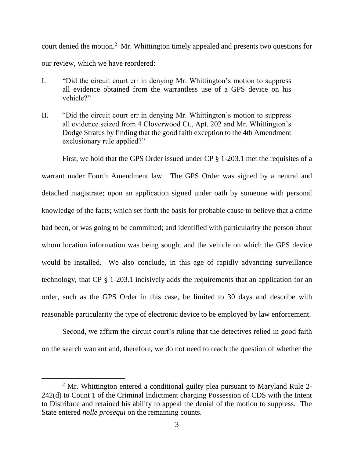court denied the motion.<sup>2</sup> Mr. Whittington timely appealed and presents two questions for our review, which we have reordered:

- I. "Did the circuit court err in denying Mr. Whittington's motion to suppress all evidence obtained from the warrantless use of a GPS device on his vehicle?"
- II. "Did the circuit court err in denying Mr. Whittington's motion to suppress all evidence seized from 4 Cloverwood Ct., Apt. 202 and Mr. Whittington's Dodge Stratus by finding that the good faith exception to the 4th Amendment exclusionary rule applied?"

First, we hold that the GPS Order issued under CP § 1-203.1 met the requisites of a warrant under Fourth Amendment law. The GPS Order was signed by a neutral and detached magistrate; upon an application signed under oath by someone with personal knowledge of the facts; which set forth the basis for probable cause to believe that a crime had been, or was going to be committed; and identified with particularity the person about whom location information was being sought and the vehicle on which the GPS device would be installed. We also conclude, in this age of rapidly advancing surveillance technology, that CP § 1-203.1 incisively adds the requirements that an application for an order, such as the GPS Order in this case, be limited to 30 days and describe with reasonable particularity the type of electronic device to be employed by law enforcement.

Second, we affirm the circuit court's ruling that the detectives relied in good faith on the search warrant and, therefore, we do not need to reach the question of whether the

<sup>&</sup>lt;sup>2</sup> Mr. Whittington entered a conditional guilty plea pursuant to Maryland Rule 2-242(d) to Count 1 of the Criminal Indictment charging Possession of CDS with the Intent to Distribute and retained his ability to appeal the denial of the motion to suppress. The State entered *nolle prosequi* on the remaining counts.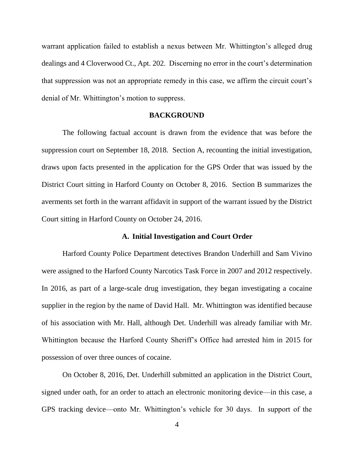warrant application failed to establish a nexus between Mr. Whittington's alleged drug dealings and 4 Cloverwood Ct., Apt. 202. Discerning no error in the court's determination that suppression was not an appropriate remedy in this case, we affirm the circuit court's denial of Mr. Whittington's motion to suppress.

### **BACKGROUND**

The following factual account is drawn from the evidence that was before the suppression court on September 18, 2018. Section A, recounting the initial investigation, draws upon facts presented in the application for the GPS Order that was issued by the District Court sitting in Harford County on October 8, 2016. Section B summarizes the averments set forth in the warrant affidavit in support of the warrant issued by the District Court sitting in Harford County on October 24, 2016.

### **A. Initial Investigation and Court Order**

Harford County Police Department detectives Brandon Underhill and Sam Vivino were assigned to the Harford County Narcotics Task Force in 2007 and 2012 respectively. In 2016, as part of a large-scale drug investigation, they began investigating a cocaine supplier in the region by the name of David Hall. Mr. Whittington was identified because of his association with Mr. Hall, although Det. Underhill was already familiar with Mr. Whittington because the Harford County Sheriff's Office had arrested him in 2015 for possession of over three ounces of cocaine.

On October 8, 2016, Det. Underhill submitted an application in the District Court, signed under oath, for an order to attach an electronic monitoring device—in this case, a GPS tracking device—onto Mr. Whittington's vehicle for 30 days. In support of the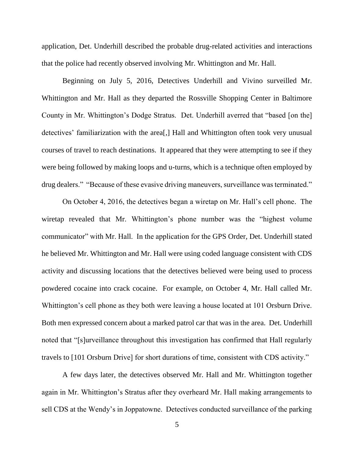application, Det. Underhill described the probable drug-related activities and interactions that the police had recently observed involving Mr. Whittington and Mr. Hall.

Beginning on July 5, 2016, Detectives Underhill and Vivino surveilled Mr. Whittington and Mr. Hall as they departed the Rossville Shopping Center in Baltimore County in Mr. Whittington's Dodge Stratus. Det. Underhill averred that "based [on the] detectives' familiarization with the area[,] Hall and Whittington often took very unusual courses of travel to reach destinations. It appeared that they were attempting to see if they were being followed by making loops and u-turns, which is a technique often employed by drug dealers." "Because of these evasive driving maneuvers, surveillance was terminated."

On October 4, 2016, the detectives began a wiretap on Mr. Hall's cell phone. The wiretap revealed that Mr. Whittington's phone number was the "highest volume communicator" with Mr. Hall. In the application for the GPS Order, Det. Underhill stated he believed Mr. Whittington and Mr. Hall were using coded language consistent with CDS activity and discussing locations that the detectives believed were being used to process powdered cocaine into crack cocaine. For example, on October 4, Mr. Hall called Mr. Whittington's cell phone as they both were leaving a house located at 101 Orsburn Drive. Both men expressed concern about a marked patrol car that was in the area. Det. Underhill noted that "[s]urveillance throughout this investigation has confirmed that Hall regularly travels to [101 Orsburn Drive] for short durations of time, consistent with CDS activity."

A few days later, the detectives observed Mr. Hall and Mr. Whittington together again in Mr. Whittington's Stratus after they overheard Mr. Hall making arrangements to sell CDS at the Wendy's in Joppatowne. Detectives conducted surveillance of the parking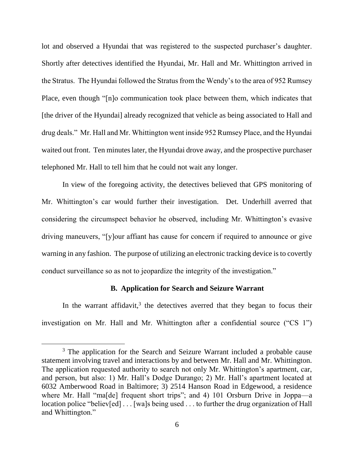lot and observed a Hyundai that was registered to the suspected purchaser's daughter. Shortly after detectives identified the Hyundai, Mr. Hall and Mr. Whittington arrived in the Stratus. The Hyundai followed the Stratus from the Wendy's to the area of 952 Rumsey Place, even though "[n]o communication took place between them, which indicates that [the driver of the Hyundai] already recognized that vehicle as being associated to Hall and drug deals." Mr. Hall and Mr. Whittington went inside 952 Rumsey Place, and the Hyundai waited out front. Ten minutes later, the Hyundai drove away, and the prospective purchaser telephoned Mr. Hall to tell him that he could not wait any longer.

In view of the foregoing activity, the detectives believed that GPS monitoring of Mr. Whittington's car would further their investigation. Det. Underhill averred that considering the circumspect behavior he observed, including Mr. Whittington's evasive driving maneuvers, "[y]our affiant has cause for concern if required to announce or give warning in any fashion. The purpose of utilizing an electronic tracking device is to covertly conduct surveillance so as not to jeopardize the integrity of the investigation."

### **B. Application for Search and Seizure Warrant**

In the warrant affidavit, $3$  the detectives averred that they began to focus their investigation on Mr. Hall and Mr. Whittington after a confidential source ("CS 1")

 $\overline{a}$ 

<sup>&</sup>lt;sup>3</sup> The application for the Search and Seizure Warrant included a probable cause statement involving travel and interactions by and between Mr. Hall and Mr. Whittington. The application requested authority to search not only Mr. Whittington's apartment, car, and person, but also: 1) Mr. Hall's Dodge Durango; 2) Mr. Hall's apartment located at 6032 Amberwood Road in Baltimore; 3) 2514 Hanson Road in Edgewood, a residence where Mr. Hall "ma<sup>[de]</sup> frequent short trips"; and 4) 101 Orsburn Drive in Joppa—a location police "believ[ed] . . . [wa]s being used . . . to further the drug organization of Hall and Whittington."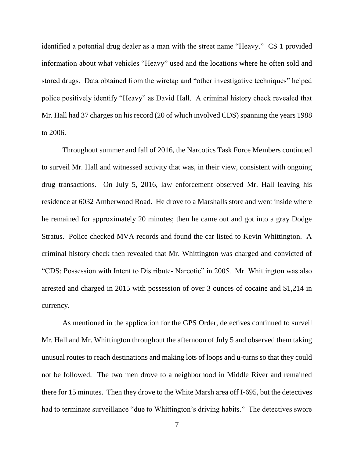identified a potential drug dealer as a man with the street name "Heavy." CS 1 provided information about what vehicles "Heavy" used and the locations where he often sold and stored drugs. Data obtained from the wiretap and "other investigative techniques" helped police positively identify "Heavy" as David Hall. A criminal history check revealed that Mr. Hall had 37 charges on his record (20 of which involved CDS) spanning the years 1988 to 2006.

Throughout summer and fall of 2016, the Narcotics Task Force Members continued to surveil Mr. Hall and witnessed activity that was, in their view, consistent with ongoing drug transactions. On July 5, 2016, law enforcement observed Mr. Hall leaving his residence at 6032 Amberwood Road. He drove to a Marshalls store and went inside where he remained for approximately 20 minutes; then he came out and got into a gray Dodge Stratus. Police checked MVA records and found the car listed to Kevin Whittington. A criminal history check then revealed that Mr. Whittington was charged and convicted of "CDS: Possession with Intent to Distribute- Narcotic" in 2005. Mr. Whittington was also arrested and charged in 2015 with possession of over 3 ounces of cocaine and \$1,214 in currency.

As mentioned in the application for the GPS Order, detectives continued to surveil Mr. Hall and Mr. Whittington throughout the afternoon of July 5 and observed them taking unusual routes to reach destinations and making lots of loops and u-turns so that they could not be followed. The two men drove to a neighborhood in Middle River and remained there for 15 minutes. Then they drove to the White Marsh area off I-695, but the detectives had to terminate surveillance "due to Whittington's driving habits." The detectives swore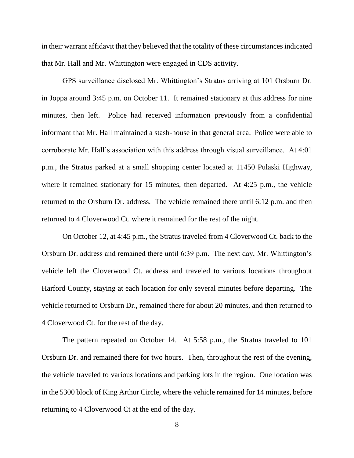in their warrant affidavit that they believed that the totality of these circumstances indicated that Mr. Hall and Mr. Whittington were engaged in CDS activity.

GPS surveillance disclosed Mr. Whittington's Stratus arriving at 101 Orsburn Dr. in Joppa around 3:45 p.m. on October 11. It remained stationary at this address for nine minutes, then left. Police had received information previously from a confidential informant that Mr. Hall maintained a stash-house in that general area. Police were able to corroborate Mr. Hall's association with this address through visual surveillance. At 4:01 p.m., the Stratus parked at a small shopping center located at 11450 Pulaski Highway, where it remained stationary for 15 minutes, then departed. At 4:25 p.m., the vehicle returned to the Orsburn Dr. address. The vehicle remained there until 6:12 p.m. and then returned to 4 Cloverwood Ct. where it remained for the rest of the night.

On October 12, at 4:45 p.m., the Stratus traveled from 4 Cloverwood Ct. back to the Orsburn Dr. address and remained there until 6:39 p.m. The next day, Mr. Whittington's vehicle left the Cloverwood Ct. address and traveled to various locations throughout Harford County, staying at each location for only several minutes before departing. The vehicle returned to Orsburn Dr., remained there for about 20 minutes, and then returned to 4 Cloverwood Ct. for the rest of the day.

The pattern repeated on October 14. At 5:58 p.m., the Stratus traveled to 101 Orsburn Dr. and remained there for two hours. Then, throughout the rest of the evening, the vehicle traveled to various locations and parking lots in the region. One location was in the 5300 block of King Arthur Circle, where the vehicle remained for 14 minutes, before returning to 4 Cloverwood Ct at the end of the day.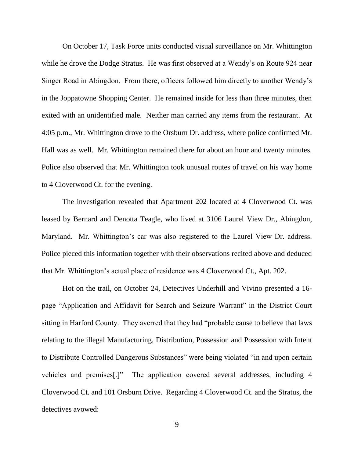On October 17, Task Force units conducted visual surveillance on Mr. Whittington while he drove the Dodge Stratus. He was first observed at a Wendy's on Route 924 near Singer Road in Abingdon. From there, officers followed him directly to another Wendy's in the Joppatowne Shopping Center. He remained inside for less than three minutes, then exited with an unidentified male. Neither man carried any items from the restaurant. At 4:05 p.m., Mr. Whittington drove to the Orsburn Dr. address, where police confirmed Mr. Hall was as well. Mr. Whittington remained there for about an hour and twenty minutes. Police also observed that Mr. Whittington took unusual routes of travel on his way home to 4 Cloverwood Ct. for the evening.

The investigation revealed that Apartment 202 located at 4 Cloverwood Ct. was leased by Bernard and Denotta Teagle, who lived at 3106 Laurel View Dr., Abingdon, Maryland. Mr. Whittington's car was also registered to the Laurel View Dr. address. Police pieced this information together with their observations recited above and deduced that Mr. Whittington's actual place of residence was 4 Cloverwood Ct., Apt. 202.

Hot on the trail, on October 24, Detectives Underhill and Vivino presented a 16 page "Application and Affidavit for Search and Seizure Warrant" in the District Court sitting in Harford County. They averred that they had "probable cause to believe that laws relating to the illegal Manufacturing, Distribution, Possession and Possession with Intent to Distribute Controlled Dangerous Substances" were being violated "in and upon certain vehicles and premises[.]" The application covered several addresses, including 4 Cloverwood Ct. and 101 Orsburn Drive. Regarding 4 Cloverwood Ct. and the Stratus, the detectives avowed: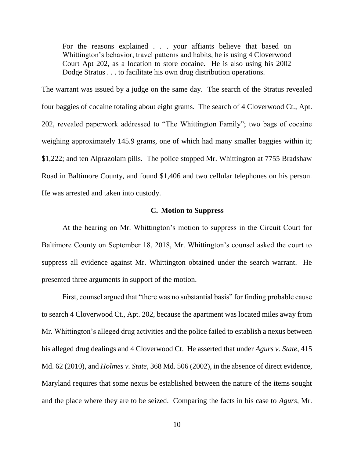For the reasons explained . . . your affiants believe that based on Whittington's behavior, travel patterns and habits, he is using 4 Cloverwood Court Apt 202, as a location to store cocaine. He is also using his 2002 Dodge Stratus . . . to facilitate his own drug distribution operations.

The warrant was issued by a judge on the same day. The search of the Stratus revealed four baggies of cocaine totaling about eight grams. The search of 4 Cloverwood Ct., Apt. 202, revealed paperwork addressed to "The Whittington Family"; two bags of cocaine weighing approximately 145.9 grams, one of which had many smaller baggies within it; \$1,222; and ten Alprazolam pills. The police stopped Mr. Whittington at 7755 Bradshaw Road in Baltimore County, and found \$1,406 and two cellular telephones on his person. He was arrested and taken into custody.

### **C. Motion to Suppress**

At the hearing on Mr. Whittington's motion to suppress in the Circuit Court for Baltimore County on September 18, 2018, Mr. Whittington's counsel asked the court to suppress all evidence against Mr. Whittington obtained under the search warrant. He presented three arguments in support of the motion.

First, counsel argued that "there was no substantial basis" for finding probable cause to search 4 Cloverwood Ct., Apt. 202, because the apartment was located miles away from Mr. Whittington's alleged drug activities and the police failed to establish a nexus between his alleged drug dealings and 4 Cloverwood Ct. He asserted that under *Agurs v. State*, 415 Md. 62 (2010), and *Holmes v. State*, 368 Md. 506 (2002), in the absence of direct evidence, Maryland requires that some nexus be established between the nature of the items sought and the place where they are to be seized. Comparing the facts in his case to *Agurs*, Mr.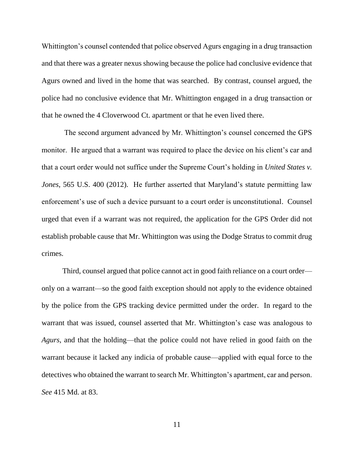Whittington's counsel contended that police observed Agurs engaging in a drug transaction and that there was a greater nexus showing because the police had conclusive evidence that Agurs owned and lived in the home that was searched. By contrast, counsel argued, the police had no conclusive evidence that Mr. Whittington engaged in a drug transaction or that he owned the 4 Cloverwood Ct. apartment or that he even lived there.

The second argument advanced by Mr. Whittington's counsel concerned the GPS monitor. He argued that a warrant was required to place the device on his client's car and that a court order would not suffice under the Supreme Court's holding in *United States v. Jones*, 565 U.S. 400 (2012). He further asserted that Maryland's statute permitting law enforcement's use of such a device pursuant to a court order is unconstitutional. Counsel urged that even if a warrant was not required, the application for the GPS Order did not establish probable cause that Mr. Whittington was using the Dodge Stratus to commit drug crimes.

Third, counsel argued that police cannot act in good faith reliance on a court order only on a warrant—so the good faith exception should not apply to the evidence obtained by the police from the GPS tracking device permitted under the order. In regard to the warrant that was issued, counsel asserted that Mr. Whittington's case was analogous to *Agurs*, and that the holding—that the police could not have relied in good faith on the warrant because it lacked any indicia of probable cause—applied with equal force to the detectives who obtained the warrant to search Mr. Whittington's apartment, car and person. *See* 415 Md. at 83.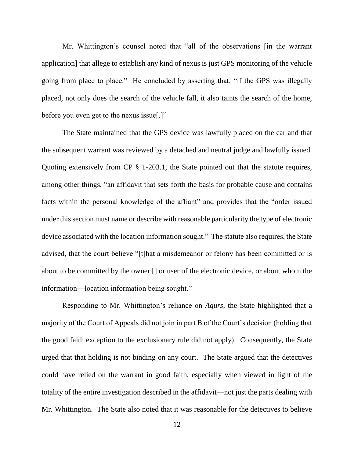Mr. Whittington's counsel noted that "all of the observations [in the warrant application] that allege to establish any kind of nexus is just GPS monitoring of the vehicle going from place to place." He concluded by asserting that, "if the GPS was illegally placed, not only does the search of the vehicle fall, it also taints the search of the home, before you even get to the nexus issue[.]"

The State maintained that the GPS device was lawfully placed on the car and that the subsequent warrant was reviewed by a detached and neutral judge and lawfully issued. Quoting extensively from CP § 1-203.1, the State pointed out that the statute requires, among other things, "an affidavit that sets forth the basis for probable cause and contains facts within the personal knowledge of the affiant" and provides that the "order issued under this section must name or describe with reasonable particularity the type of electronic device associated with the location information sought." The statute also requires, the State advised, that the court believe "[t]hat a misdemeanor or felony has been committed or is about to be committed by the owner [] or user of the electronic device, or about whom the information—location information being sought."

Responding to Mr. Whittington's reliance on *Agurs*, the State highlighted that a majority of the Court of Appeals did not join in part B of the Court's decision (holding that the good faith exception to the exclusionary rule did not apply). Consequently, the State urged that that holding is not binding on any court. The State argued that the detectives could have relied on the warrant in good faith, especially when viewed in light of the totality of the entire investigation described in the affidavit—not just the parts dealing with Mr. Whittington. The State also noted that it was reasonable for the detectives to believe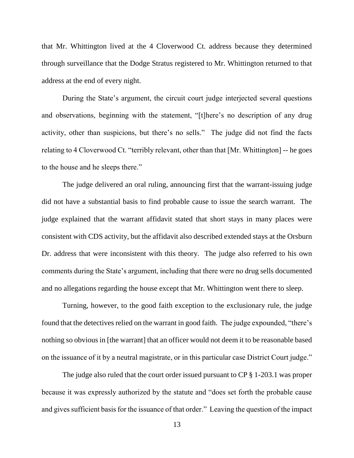that Mr. Whittington lived at the 4 Cloverwood Ct. address because they determined through surveillance that the Dodge Stratus registered to Mr. Whittington returned to that address at the end of every night.

During the State's argument, the circuit court judge interjected several questions and observations, beginning with the statement, "[t]here's no description of any drug activity, other than suspicions, but there's no sells." The judge did not find the facts relating to 4 Cloverwood Ct. "terribly relevant, other than that [Mr. Whittington] -- he goes to the house and he sleeps there."

The judge delivered an oral ruling, announcing first that the warrant-issuing judge did not have a substantial basis to find probable cause to issue the search warrant. The judge explained that the warrant affidavit stated that short stays in many places were consistent with CDS activity, but the affidavit also described extended stays at the Orsburn Dr. address that were inconsistent with this theory. The judge also referred to his own comments during the State's argument, including that there were no drug sells documented and no allegations regarding the house except that Mr. Whittington went there to sleep.

Turning, however, to the good faith exception to the exclusionary rule, the judge found that the detectives relied on the warrant in good faith. The judge expounded, "there's nothing so obvious in [the warrant] that an officer would not deem it to be reasonable based on the issuance of it by a neutral magistrate, or in this particular case District Court judge."

The judge also ruled that the court order issued pursuant to CP § 1-203.1 was proper because it was expressly authorized by the statute and "does set forth the probable cause and gives sufficient basis for the issuance of that order." Leaving the question of the impact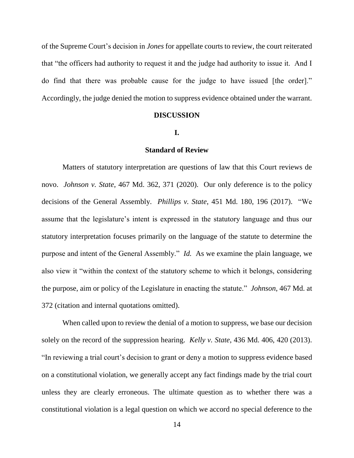of the Supreme Court's decision in *Jones* for appellate courts to review, the court reiterated that "the officers had authority to request it and the judge had authority to issue it. And I do find that there was probable cause for the judge to have issued [the order]." Accordingly, the judge denied the motion to suppress evidence obtained under the warrant.

#### **DISCUSSION**

### **I.**

### **Standard of Review**

Matters of statutory interpretation are questions of law that this Court reviews de novo. *Johnson v. State*, 467 Md. 362, 371 (2020). Our only deference is to the policy decisions of the General Assembly. *Phillips v. State*, 451 Md. 180, 196 (2017). "We assume that the legislature's intent is expressed in the statutory language and thus our statutory interpretation focuses primarily on the language of the statute to determine the purpose and intent of the General Assembly." *Id.* As we examine the plain language, we also view it "within the context of the statutory scheme to which it belongs, considering the purpose, aim or policy of the Legislature in enacting the statute." *Johnson*, 467 Md. at 372 (citation and internal quotations omitted).

When called upon to review the denial of a motion to suppress, we base our decision solely on the record of the suppression hearing. *Kelly v. State*, 436 Md. 406, 420 (2013). "In reviewing a trial court's decision to grant or deny a motion to suppress evidence based on a constitutional violation, we generally accept any fact findings made by the trial court unless they are clearly erroneous. The ultimate question as to whether there was a constitutional violation is a legal question on which we accord no special deference to the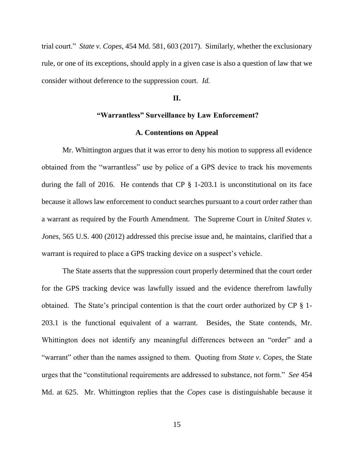trial court." *State v. Copes*, 454 Md. 581, 603 (2017). Similarly, whether the exclusionary rule, or one of its exceptions, should apply in a given case is also a question of law that we consider without deference to the suppression court. *Id.*

#### **II.**

# **"Warrantless" Surveillance by Law Enforcement?**

#### **A. Contentions on Appeal**

Mr. Whittington argues that it was error to deny his motion to suppress all evidence obtained from the "warrantless" use by police of a GPS device to track his movements during the fall of 2016. He contends that CP § 1-203.1 is unconstitutional on its face because it allows law enforcement to conduct searches pursuant to a court order rather than a warrant as required by the Fourth Amendment. The Supreme Court in *United States v. Jones*, 565 U.S. 400 (2012) addressed this precise issue and, he maintains, clarified that a warrant is required to place a GPS tracking device on a suspect's vehicle.

The State asserts that the suppression court properly determined that the court order for the GPS tracking device was lawfully issued and the evidence therefrom lawfully obtained. The State's principal contention is that the court order authorized by CP § 1- 203.1 is the functional equivalent of a warrant. Besides, the State contends, Mr. Whittington does not identify any meaningful differences between an "order" and a "warrant" other than the names assigned to them. Quoting from *State v. Copes*, the State urges that the "constitutional requirements are addressed to substance, not form." *See* 454 Md. at 625. Mr. Whittington replies that the *Copes* case is distinguishable because it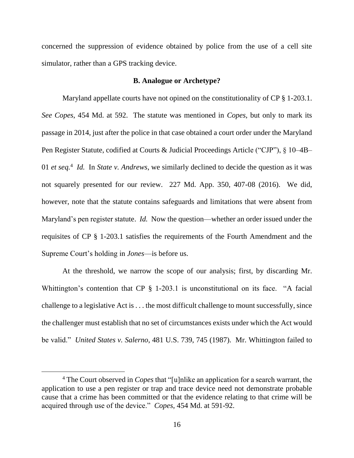concerned the suppression of evidence obtained by police from the use of a cell site simulator, rather than a GPS tracking device.

### **B. Analogue or Archetype?**

Maryland appellate courts have not opined on the constitutionality of CP § 1-203.1. *See Copes*, 454 Md. at 592. The statute was mentioned in *Copes*, but only to mark its passage in 2014, just after the police in that case obtained a court order under the Maryland Pen Register Statute, codified at Courts & Judicial Proceedings Article ("CJP"), § 10–4B– 01 *et seq.*<sup>4</sup> *Id.* In *State v. Andrews*, we similarly declined to decide the question as it was not squarely presented for our review. 227 Md. App. 350, 407-08 (2016). We did, however, note that the statute contains safeguards and limitations that were absent from Maryland's pen register statute. *Id.* Now the question—whether an order issued under the requisites of CP § 1-203.1 satisfies the requirements of the Fourth Amendment and the Supreme Court's holding in *Jones*—is before us.

At the threshold, we narrow the scope of our analysis; first, by discarding Mr. Whittington's contention that CP § 1-203.1 is unconstitutional on its face. "A facial challenge to a legislative Act is . . . the most difficult challenge to mount successfully, since the challenger must establish that no set of circumstances exists under which the Act would be valid." *United States v. Salerno*, 481 U.S. 739, 745 (1987). Mr. Whittington failed to

 $\overline{a}$ 

<sup>4</sup> The Court observed in *Copes* that "[u]nlike an application for a search warrant, the application to use a pen register or trap and trace device need not demonstrate probable cause that a crime has been committed or that the evidence relating to that crime will be acquired through use of the device." *Copes*, 454 Md. at 591-92.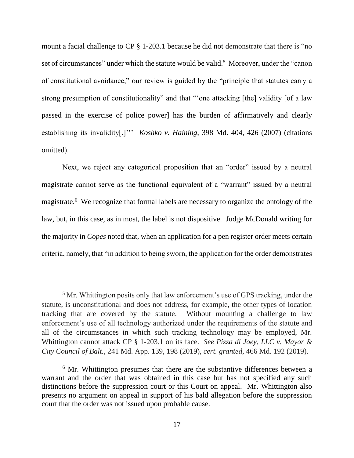mount a facial challenge to CP § 1-203.1 because he did not demonstrate that there is "no set of circumstances" under which the statute would be valid.<sup>5</sup> Moreover, under the "canon of constitutional avoidance," our review is guided by the "principle that statutes carry a strong presumption of constitutionality" and that "'one attacking [the] validity [of a law passed in the exercise of police power] has the burden of affirmatively and clearly establishing its invalidity[.]''' *Koshko v. Haining*, 398 Md. 404, 426 (2007) (citations omitted).

Next, we reject any categorical proposition that an "order" issued by a neutral magistrate cannot serve as the functional equivalent of a "warrant" issued by a neutral magistrate.<sup>6</sup> We recognize that formal labels are necessary to organize the ontology of the law, but, in this case, as in most, the label is not dispositive. Judge McDonald writing for the majority in *Copes* noted that, when an application for a pen register order meets certain criteria, namely, that "in addition to being sworn, the application for the order demonstrates

 $\overline{a}$ 

<sup>&</sup>lt;sup>5</sup> Mr. Whittington posits only that law enforcement's use of GPS tracking, under the statute, is unconstitutional and does not address, for example, the other types of location tracking that are covered by the statute. Without mounting a challenge to law enforcement's use of all technology authorized under the requirements of the statute and all of the circumstances in which such tracking technology may be employed, Mr. Whittington cannot attack CP § 1-203.1 on its face. *See Pizza di Joey, LLC v. Mayor & City Council of Balt.*, 241 Md. App. 139, 198 (2019), *cert. granted,* 466 Md. 192 (2019).

<sup>&</sup>lt;sup>6</sup> Mr. Whittington presumes that there are the substantive differences between a warrant and the order that was obtained in this case but has not specified any such distinctions before the suppression court or this Court on appeal. Mr. Whittington also presents no argument on appeal in support of his bald allegation before the suppression court that the order was not issued upon probable cause.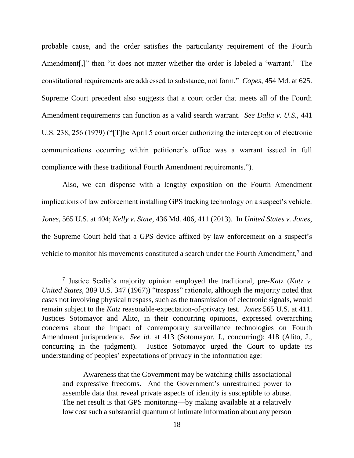probable cause, and the order satisfies the particularity requirement of the Fourth Amendment[,]" then "it does not matter whether the order is labeled a 'warrant.' The constitutional requirements are addressed to substance, not form." *Copes*, 454 Md. at 625. Supreme Court precedent also suggests that a court order that meets all of the Fourth Amendment requirements can function as a valid search warrant. *See Dalia v. U.S.*, 441 U.S. 238, 256 (1979) ("[T]he April 5 court order authorizing the interception of electronic communications occurring within petitioner's office was a warrant issued in full compliance with these traditional Fourth Amendment requirements.").

Also, we can dispense with a lengthy exposition on the Fourth Amendment implications of law enforcement installing GPS tracking technology on a suspect's vehicle. *Jones*, 565 U.S. at 404; *Kelly v. State*, 436 Md. 406, 411 (2013). In *United States v. Jones*, the Supreme Court held that a GPS device affixed by law enforcement on a suspect's vehicle to monitor his movements constituted a search under the Fourth Amendment,<sup>7</sup> and

Awareness that the Government may be watching chills associational and expressive freedoms. And the Government's unrestrained power to assemble data that reveal private aspects of identity is susceptible to abuse. The net result is that GPS monitoring—by making available at a relatively low cost such a substantial quantum of intimate information about any person

<sup>7</sup> Justice Scalia's majority opinion employed the traditional, pre-*Katz* (*Katz v. United States*, 389 U.S. 347 (1967)) "trespass" rationale, although the majority noted that cases not involving physical trespass, such as the transmission of electronic signals, would remain subject to the *Katz* reasonable-expectation-of-privacy test. *Jones* 565 U.S. at 411. Justices Sotomayor and Alito, in their concurring opinions, expressed overarching concerns about the impact of contemporary surveillance technologies on Fourth Amendment jurisprudence. *See id.* at 413 (Sotomayor, J., concurring); 418 (Alito, J., concurring in the judgment). Justice Sotomayor urged the Court to update its understanding of peoples' expectations of privacy in the information age: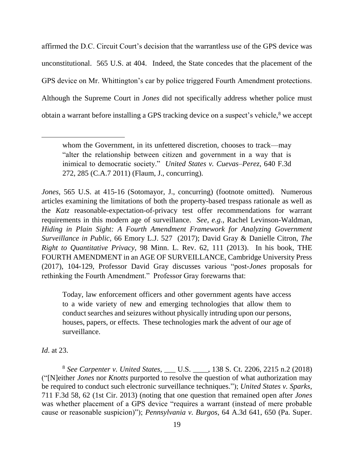affirmed the D.C. Circuit Court's decision that the warrantless use of the GPS device was unconstitutional. 565 U.S. at 404. Indeed, the State concedes that the placement of the GPS device on Mr. Whittington's car by police triggered Fourth Amendment protections. Although the Supreme Court in *Jones* did not specifically address whether police must obtain a warrant before installing a GPS tracking device on a suspect's vehicle,<sup>8</sup> we accept

*Jones*, 565 U.S. at 415-16 (Sotomayor, J., concurring) (footnote omitted). Numerous articles examining the limitations of both the property-based trespass rationale as well as the *Katz* reasonable-expectation-of-privacy test offer recommendations for warrant requirements in this modern age of surveillance. *See*, *e.g.*, Rachel Levinson-Waldman, *Hiding in Plain Sight: A Fourth Amendment Framework for Analyzing Government Surveillance in Public*, 66 Emory L.J. 527 (2017); David Gray & Danielle Citron, *[The](http://www.westlaw.com/Link/Document/FullText?findType=Y&serNum=0394127841&pubNum=0001193&originatingDoc=I4b008def135311e798dc8b09b4f043e0&refType=LR&fi=co_pp_sp_1193_73&originationContext=document&vr=3.0&rs=cblt1.0&transitionType=DocumentItem&contextData=(sc.Keycite)#co_pp_sp_1193_73)  Right to Quantitative Privacy*[, 98 Minn. L. Rev. 62, 111 \(2013\).](http://www.westlaw.com/Link/Document/FullText?findType=Y&serNum=0394127841&pubNum=0001193&originatingDoc=I4b008def135311e798dc8b09b4f043e0&refType=LR&fi=co_pp_sp_1193_73&originationContext=document&vr=3.0&rs=cblt1.0&transitionType=DocumentItem&contextData=(sc.Keycite)#co_pp_sp_1193_73) In his book, THE FOURTH AMENDMENT in an AGE OF SURVEILLANCE, Cambridge University Press (2017), 104-129, Professor David Gray discusses various "post-*Jones* proposals for rethinking the Fourth Amendment." Professor Gray forewarns that:

Today, law enforcement officers and other government agents have access to a wide variety of new and emerging technologies that allow them to conduct searches and seizures without physically intruding upon our persons, houses, papers, or effects. These technologies mark the advent of our age of surveillance.

*Id*. at 23.

 $\overline{a}$ 

<sup>8</sup> *See Carpenter v. United States*, \_\_\_ U.S. \_\_\_\_, 138 S. Ct. 2206, 2215 n.2 (2018) ("[N]either *Jones* nor *Knotts* purported to resolve the question of what authorization may be required to conduct such electronic surveillance techniques."); *United States v. Sparks*, 711 F.3d 58, 62 (1st Cir. 2013) (noting that one question that remained open after *Jones* was whether placement of a GPS device "requires a warrant (instead of mere probable cause or reasonable suspicion)"); *Pennsylvania v. Burgos*, 64 A.3d 641, 650 (Pa. Super.

whom the Government, in its unfettered discretion, chooses to track—may "alter the relationship between citizen and government in a way that is inimical to democratic society." *United States v. Cuevas–Perez*, 640 F.3d 272, 285 (C.A.7 2011) (Flaum, J., concurring).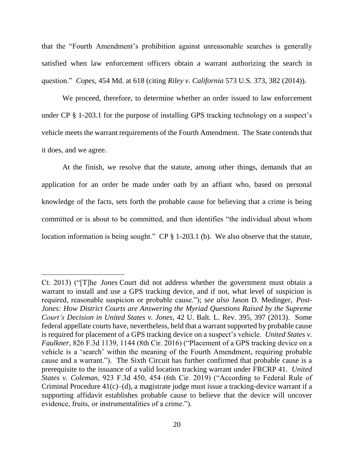that the "Fourth Amendment's prohibition against unreasonable searches is generally satisfied when law enforcement officers obtain a warrant authorizing the search in question." *Copes*, 454 Md. at 618 (citing *Riley v. California* 573 U.S. 373, 382 (2014)).

We proceed, therefore, to determine whether an order issued to law enforcement under CP § 1-203.1 for the purpose of installing GPS tracking technology on a suspect's vehicle meets the warrant requirements of the Fourth Amendment. The State contends that it does, and we agree.

At the finish, we resolve that the statute, among other things, demands that an application for an order be made under oath by an affiant who, based on personal knowledge of the facts, sets forth the probable cause for believing that a crime is being committed or is about to be committed, and then identifies "the individual about whom location information is being sought." CP § 1-203.1 (b). We also observe that the statute,

 $\overline{a}$ 

Ct. 2013) ("[T]he *Jones* Court did not address whether the government must obtain a warrant to install and use a GPS tracking device, and if not, what level of suspicion is required, reasonable suspicion or probable cause."); *see also* Jason D. Medinger, *Post-Jones: How District Courts are Answering the Myriad Questions Raised by the Supreme Court's Decision in United States v. Jones*, 42 U. Balt. L. Rev. 395, 397 (2013). Some federal appellate courts have, nevertheless, held that a warrant supported by probable cause is required for placement of a GPS tracking device on a suspect's vehicle. *United States v. Faulkner*, 826 F.3d 1139, 1144 (8th Cir. 2016) ("Placement of a GPS tracking device on a vehicle is a 'search' within the meaning of the Fourth Amendment, requiring probable cause and a warrant."). The Sixth Circuit has further confirmed that probable cause is a prerequisite to the issuance of a valid location tracking warrant under FRCRP 41. *United States v. Coleman*, 923 F.3d 450, 454 (6th Cir. 2019) ("According to Federal Rule of Criminal Procedure 41(c)–(d), a magistrate judge must issue a tracking-device warrant if a supporting affidavit establishes probable cause to believe that the device will uncover evidence, fruits, or instrumentalities of a crime.").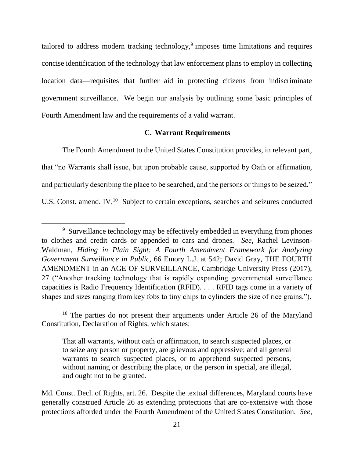tailored to address modern tracking technology,<sup>9</sup> imposes time limitations and requires concise identification of the technology that law enforcement plans to employ in collecting location data—requisites that further aid in protecting citizens from indiscriminate government surveillance. We begin our analysis by outlining some basic principles of Fourth Amendment law and the requirements of a valid warrant.

### **C. Warrant Requirements**

The Fourth Amendment to the United States Constitution provides, in relevant part, that "no Warrants shall issue, but upon probable cause, supported by Oath or affirmation, and particularly describing the place to be searched, and the persons or things to be seized." U.S. Const. amend. IV.<sup>10</sup> Subject to certain exceptions, searches and seizures conducted

 $\overline{a}$ 

<sup>&</sup>lt;sup>9</sup> Surveillance technology may be effectively embedded in everything from phones to clothes and credit cards or appended to cars and drones. *See*, Rachel Levinson-Waldman, *Hiding in Plain Sight: A Fourth Amendment Framework for Analyzing Government Surveillance in Public*, 66 Emory L.J. at 542; David Gray, THE FOURTH AMENDMENT in an AGE OF SURVEILLANCE, Cambridge University Press (2017), 27 ("Another tracking technology that is rapidly expanding governmental surveillance capacities is Radio Frequency Identification (RFID). . . . RFID tags come in a variety of shapes and sizes ranging from key fobs to tiny chips to cylinders the size of rice grains.").

<sup>&</sup>lt;sup>10</sup> The parties do not present their arguments under Article 26 of the Maryland Constitution, Declaration of Rights, which states:

That all warrants, without oath or affirmation, to search suspected places, or to seize any person or property, are grievous and oppressive; and all general warrants to search suspected places, or to apprehend suspected persons, without naming or describing the place, or the person in special, are illegal, and ought not to be granted.

Md. Const. Decl. of Rights, art. 26. Despite the textual differences, Maryland courts have generally construed Article 26 as extending protections that are co-extensive with those protections afforded under the Fourth Amendment of the United States Constitution. *See,*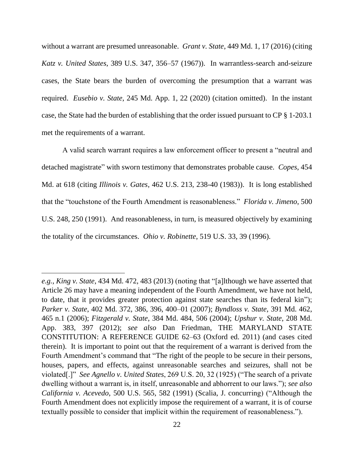without a warrant are presumed unreasonable. *Grant v. State*, 449 Md. 1, 17 (2016) (citing *Katz v. United States*, 389 U.S. 347, 356–57 (1967)). In warrantless-search and-seizure cases, the State bears the burden of overcoming the presumption that a warrant was required. *Eusebio v. State*, 245 Md. App. 1, 22 (2020) (citation omitted). In the instant case, the State had the burden of establishing that the order issued pursuant to CP § 1-203.1 met the requirements of a warrant.

A valid search warrant requires a law enforcement officer to present a "neutral and detached magistrate" with sworn testimony that demonstrates probable cause. *Copes*, 454 Md. at 618 (citing *Illinois v. Gates*, 462 U.S. 213, 238-40 (1983)). It is long established that the "touchstone of the Fourth Amendment is reasonableness." *Florida v. Jimeno*, 500 U.S. 248, 250 (1991). And reasonableness, in turn, is measured objectively by examining the totality of the circumstances. *Ohio v. Robinette*, 519 U.S. 33, 39 (1996).

*e.g.*, *King v. State*, 434 Md. 472, 483 (2013) (noting that "[a]lthough we have asserted that Article 26 may have a meaning independent of the Fourth Amendment, we have not held, to date, that it provides greater protection against state searches than its federal kin"); *Parker v. State*, 402 Md. 372, 386, 396, 400–01 (2007); *Byndloss v. State*, 391 Md. 462, 465 n.1 (2006); *Fitzgerald v. State*, 384 Md. 484, 506 (2004); *Upshur v. State*, 208 Md. App. 383, 397 (2012); *see also* Dan Friedman, THE MARYLAND STATE CONSTITUTION: A REFERENCE GUIDE 62–63 (Oxford ed. 2011) (and cases cited therein). It is important to point out that the requirement of a warrant is derived from the Fourth Amendment's command that "The right of the people to be secure in their persons, houses, papers, and effects, against unreasonable searches and seizures, shall not be violated[.]" *See Agnello v. United States*, 269 U.S. 20, 32 (1925) ("The search of a private dwelling without a warrant is, in itself, unreasonable and abhorrent to our laws."); *see also California v. Acevedo*, 500 U.S. 565, 582 (1991) (Scalia, J. concurring) ("Although the Fourth Amendment does not explicitly impose the requirement of a warrant, it is of course textually possible to consider that implicit within the requirement of reasonableness.").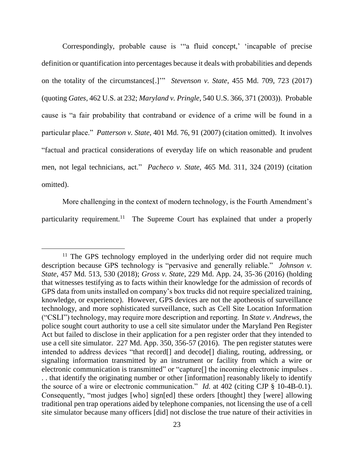Correspondingly, probable cause is '"a fluid concept,' 'incapable of precise definition or quantification into percentages because it deals with probabilities and depends on the totality of the circumstances[.]'" *Stevenson v. State*, 455 Md. 709, 723 (2017) (quoting *Gates*, 462 U.S. at 232; *Maryland v. Pringle*, 540 U.S. 366, 371 (2003)). Probable cause is "a fair probability that contraband or evidence of a crime will be found in a particular place." *Patterson v. State*, 401 Md. 76, 91 (2007) (citation omitted). It involves "factual and practical considerations of everyday life on which reasonable and prudent men, not legal technicians, act." *Pacheco v. State*, 465 Md. 311, 324 (2019) (citation omitted).

More challenging in the context of modern technology, is the Fourth Amendment's particularity requirement.<sup>11</sup> The Supreme Court has explained that under a properly

<sup>&</sup>lt;sup>11</sup> The GPS technology employed in the underlying order did not require much description because GPS technology is "pervasive and generally reliable." *Johnson v. State*, 457 Md. 513, 530 (2018); *Gross v. State*, 229 Md. App. 24, 35-36 (2016) (holding that witnesses testifying as to facts within their knowledge for the admission of records of GPS data from units installed on company's box trucks did not require specialized training, knowledge, or experience). However, GPS devices are not the apotheosis of surveillance technology, and more sophisticated surveillance, such as Cell Site Location Information ("CSLI") technology, may require more description and reporting. In *State v. Andrews*, the police sought court authority to use a cell site simulator under the Maryland Pen Register Act but failed to disclose in their application for a pen register order that they intended to use a cell site simulator. 227 Md. App. 350, 356-57 (2016). The pen register statutes were intended to address devices "that record[] and decode[] dialing, routing, addressing, or signaling information transmitted by an instrument or facility from which a wire or electronic communication is transmitted" or "capture[] the incoming electronic impulses . . . that identify the originating number or other [information] reasonably likely to identify the source of a wire or electronic communication." *Id.* at 402 (citing CJP § 10-4B-0.1). Consequently, "most judges [who] sign[ed] these orders [thought] they [were] allowing traditional pen trap operations aided by telephone companies, not licensing the use of a cell site simulator because many officers [did] not disclose the true nature of their activities in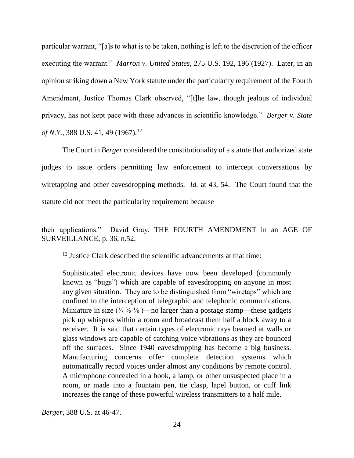particular warrant, "[a]s to what is to be taken, nothing is left to the discretion of the officer executing the warrant." *Marron v. United States*, 275 U.S. 192, 196 (1927). Later, in an opinion striking down a New York statute under the particularity requirement of the Fourth Amendment, Justice Thomas Clark observed, "[t]he law, though jealous of individual privacy, has not kept pace with these advances in scientific knowledge." *Berger v. State of N.Y.*, 388 U.S. 41, 49 (1967).<sup>12</sup>

The Court in *Berger* considered the constitutionality of a statute that authorized state judges to issue orders permitting law enforcement to intercept conversations by wiretapping and other eavesdropping methods. *Id.* at 43, 54. The Court found that the statute did not meet the particularity requirement because

<sup>12</sup> Justice Clark described the scientific advancements at that time:

Sophisticated electronic devices have now been developed (commonly known as "bugs") which are capable of eavesdropping on anyone in most any given situation. They are to be distinguished from "wiretaps" which are confined to the interception of telegraphic and telephonic communications. Miniature in size  $(\frac{3}{8} \frac{3}{8} \frac{1}{8})$ —no larger than a postage stamp—these gadgets pick up whispers within a room and broadcast them half a block away to a receiver. It is said that certain types of electronic rays beamed at walls or glass windows are capable of catching voice vibrations as they are bounced off the surfaces. Since 1940 eavesdropping has become a big business. Manufacturing concerns offer complete detection systems which automatically record voices under almost any conditions by remote control. A microphone concealed in a book, a lamp, or other unsuspected place in a room, or made into a fountain pen, tie clasp, lapel button, or cuff link increases the range of these powerful wireless transmitters to a half mile.

*Berger*, 388 U.S. at 46-47.

their applications." David Gray, THE FOURTH AMENDMENT in an AGE OF SURVEILLANCE, p. 36, n.52.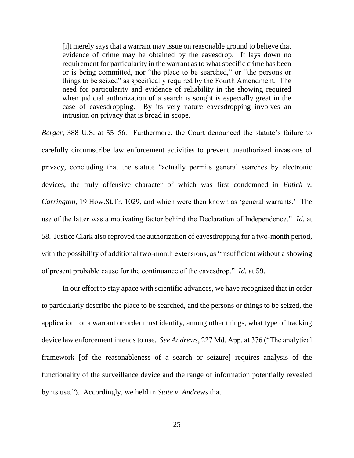[i]t merely says that a warrant may issue on reasonable ground to believe that evidence of crime may be obtained by the eavesdrop. It lays down no requirement for particularity in the warrant as to what specific crime has been or is being committed, nor "the place to be searched," or "the persons or things to be seized" as specifically required by the Fourth Amendment. The need for particularity and evidence of reliability in the showing required when judicial authorization of a search is sought is especially great in the case of eavesdropping. By its very nature eavesdropping involves an intrusion on privacy that is broad in scope.

*Berger*, 388 U.S. at 55–56. Furthermore, the Court denounced the statute's failure to carefully circumscribe law enforcement activities to prevent unauthorized invasions of privacy, concluding that the statute "actually permits general searches by electronic devices, the truly offensive character of which was first condemned in *Entick v. Carrington*, 19 How.St.Tr. 1029, and which were then known as 'general warrants.' The use of the latter was a motivating factor behind the Declaration of Independence." *Id*. at 58. Justice Clark also reproved the authorization of eavesdropping for a two-month period, with the possibility of additional two-month extensions, as "insufficient without a showing of present probable cause for the continuance of the eavesdrop." *Id.* at 59.

In our effort to stay apace with scientific advances, we have recognized that in order to particularly describe the place to be searched, and the persons or things to be seized, the application for a warrant or order must identify, among other things, what type of tracking device law enforcement intends to use. *See Andrews*, 227 Md. App. at 376 ("The analytical framework [of the reasonableness of a search or seizure] requires analysis of the functionality of the surveillance device and the range of information potentially revealed by its use."). Accordingly, we held in *State v. Andrews* that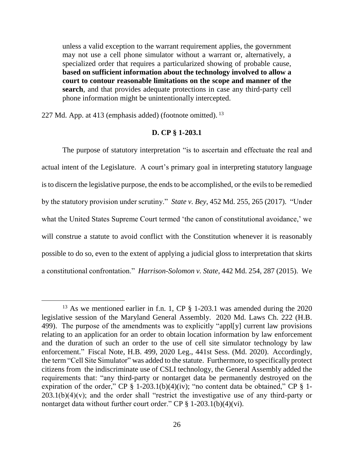unless a valid exception to the warrant requirement applies, the government may not use a cell phone simulator without a warrant or, alternatively, a specialized order that requires a particularized showing of probable cause, **based on sufficient information about the technology involved to allow a court to contour reasonable limitations on the scope and manner of the search**, and that provides adequate protections in case any third-party cell phone information might be unintentionally intercepted.

227 Md. App. at 413 (emphasis added) (footnote omitted). <sup>13</sup>

 $\overline{a}$ 

### **D. CP § 1-203.1**

The purpose of statutory interpretation "is to ascertain and effectuate the real and actual intent of the Legislature. A court's primary goal in interpreting statutory language is to discern the legislative purpose, the ends to be accomplished, or the evils to be remedied by the statutory provision under scrutiny." *State v. Bey*, 452 Md. 255, 265 (2017). "Under what the United States Supreme Court termed 'the canon of constitutional avoidance,' we will construe a statute to avoid conflict with the Constitution whenever it is reasonably possible to do so, even to the extent of applying a judicial gloss to interpretation that skirts a constitutional confrontation." *Harrison-Solomon v. State*, 442 Md. 254, 287 (2015). We

<sup>&</sup>lt;sup>13</sup> As we mentioned earlier in f.n. 1, CP § 1-203.1 was amended during the 2020 legislative session of the Maryland General Assembly. 2020 Md. Laws Ch. 222 (H.B. 499). The purpose of the amendments was to explicitly "appl[y] current law provisions relating to an application for an order to obtain location information by law enforcement and the duration of such an order to the use of cell site simulator technology by law enforcement." Fiscal Note, H.B. 499, 2020 Leg., 441st Sess. (Md. 2020). Accordingly, the term "Cell Site Simulator" was added to the statute. Furthermore, to specifically protect citizens from the indiscriminate use of CSLI technology, the General Assembly added the requirements that: "any third-party or nontarget data be permanently destroyed on the expiration of the order," CP  $\S$  1-203.1(b)(4)(iv); "no content data be obtained," CP  $\S$  1- $203.1(b)(4)(v)$ ; and the order shall "restrict the investigative use of any third-party or nontarget data without further court order." CP  $\S$  1-203.1(b)(4)(vi).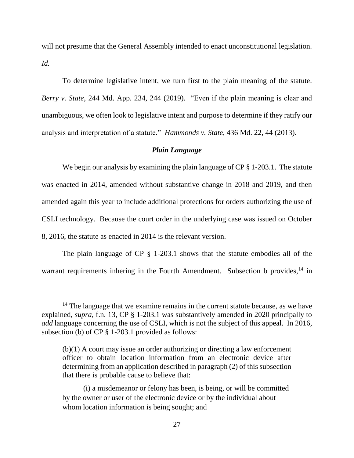will not presume that the General Assembly intended to enact unconstitutional legislation. *Id.*

To determine legislative intent, we turn first to the plain meaning of the statute. *Berry v. State*, 244 Md. App. 234, 244 (2019). "Even if the plain meaning is clear and unambiguous, we often look to legislative intent and purpose to determine if they ratify our analysis and interpretation of a statute." *Hammonds v. State*, 436 Md. 22, 44 (2013).

### *Plain Language*

We begin our analysis by examining the plain language of CP § 1-203.1. The statute was enacted in 2014, amended without substantive change in 2018 and 2019, and then amended again this year to include additional protections for orders authorizing the use of CSLI technology. Because the court order in the underlying case was issued on October 8, 2016, the statute as enacted in 2014 is the relevant version.

The plain language of CP § 1-203.1 shows that the statute embodies all of the warrant requirements inhering in the Fourth Amendment. Subsection b provides,  $14$  in

<sup>&</sup>lt;sup>14</sup> The language that we examine remains in the current statute because, as we have explained, *supra,* f.n. 13, CP § 1-203.1 was substantively amended in 2020 principally to *add* language concerning the use of CSLI, which is not the subject of this appeal. In 2016, subsection (b) of CP § 1-203.1 provided as follows:

<sup>(</sup>b)(1) A court may issue an order authorizing or directing a law enforcement officer to obtain location information from an electronic device after determining from an application described in paragraph (2) of this subsection that there is probable cause to believe that:

<sup>(</sup>i) a misdemeanor or felony has been, is being, or will be committed by the owner or user of the electronic device or by the individual about whom location information is being sought; and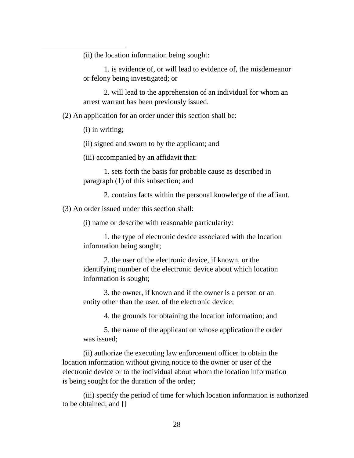(ii) the location information being sought:

1. is evidence of, or will lead to evidence of, the misdemeanor or felony being investigated; or

2. will lead to the apprehension of an individual for whom an arrest warrant has been previously issued.

(2) An application for an order under this section shall be:

(i) in writing;

 $\overline{a}$ 

(ii) signed and sworn to by the applicant; and

(iii) accompanied by an affidavit that:

1. sets forth the basis for probable cause as described in paragraph (1) of this subsection; and

2. contains facts within the personal knowledge of the affiant.

(3) An order issued under this section shall:

(i) name or describe with reasonable particularity:

1. the type of electronic device associated with the location information being sought;

2. the user of the electronic device, if known, or the identifying number of the electronic device about which location information is sought;

3. the owner, if known and if the owner is a person or an entity other than the user, of the electronic device;

4. the grounds for obtaining the location information; and

5. the name of the applicant on whose application the order was issued;

(ii) authorize the executing law enforcement officer to obtain the location information without giving notice to the owner or user of the electronic device or to the individual about whom the location information is being sought for the duration of the order;

(iii) specify the period of time for which location information is authorized to be obtained; and []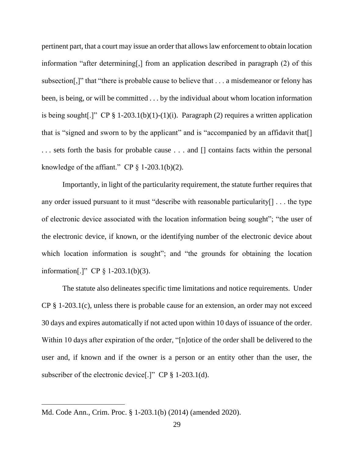pertinent part, that a court may issue an order that allows law enforcement to obtain location information "after determining[,] from an application described in paragraph (2) of this subsection[,]" that "there is probable cause to believe that . . . a misdemeanor or felony has been, is being, or will be committed . . . by the individual about whom location information is being sought.]" CP  $\S 1-203.1(b)(1)-(1)(i)$ . Paragraph (2) requires a written application that is "signed and sworn to by the applicant" and is "accompanied by an affidavit that<sup>[]</sup> . . . sets forth the basis for probable cause . . . and [] contains facts within the personal knowledge of the affiant." CP  $\S$  1-203.1(b)(2).

Importantly, in light of the particularity requirement, the statute further requires that any order issued pursuant to it must "describe with reasonable particularity[] . . . the type of electronic device associated with the location information being sought"; "the user of the electronic device, if known, or the identifying number of the electronic device about which location information is sought"; and "the grounds for obtaining the location information[.]" CP § 1-203.1(b)(3).

The statute also delineates specific time limitations and notice requirements. Under  $CP \S 1-203.1(c)$ , unless there is probable cause for an extension, an order may not exceed 30 days and expires automatically if not acted upon within 10 days of issuance of the order. Within 10 days after expiration of the order, "[n]otice of the order shall be delivered to the user and, if known and if the owner is a person or an entity other than the user, the subscriber of the electronic device<sup>[.]"</sup> CP § 1-203.1(d).

 $\overline{a}$ 

Md. Code Ann., Crim. Proc. § 1-203.1(b) (2014) (amended 2020).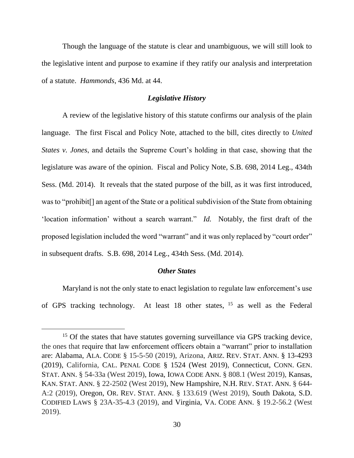Though the language of the statute is clear and unambiguous, we will still look to the legislative intent and purpose to examine if they ratify our analysis and interpretation of a statute. *Hammonds*, 436 Md. at 44.

### *Legislative History*

A review of the legislative history of this statute confirms our analysis of the plain language. The first Fiscal and Policy Note, attached to the bill, cites directly to *United States v. Jones*, and details the Supreme Court's holding in that case, showing that the legislature was aware of the opinion. Fiscal and Policy Note, S.B. 698, 2014 Leg., 434th Sess. (Md. 2014). It reveals that the stated purpose of the bill, as it was first introduced, was to "prohibit[] an agent of the State or a political subdivision of the State from obtaining 'location information' without a search warrant." *Id.* Notably, the first draft of the proposed legislation included the word "warrant" and it was only replaced by "court order" in subsequent drafts. S.B. 698, 2014 Leg., 434th Sess. (Md. 2014).

### *Other States*

Maryland is not the only state to enact legislation to regulate law enforcement's use of GPS tracking technology. At least 18 other states, <sup>15</sup> as well as the Federal

<sup>&</sup>lt;sup>15</sup> Of the states that have statutes governing surveillance via GPS tracking device, the ones that require that law enforcement officers obtain a "warrant" prior to installation are: Alabama, ALA. CODE § 15-5-50 (2019), Arizona, ARIZ. REV. STAT. ANN. § 13-4293 (2019), California, CAL. PENAL CODE § 1524 (West 2019), Connecticut, CONN. GEN. STAT. ANN. § 54-33a (West 2019), Iowa, IOWA CODE ANN. § 808.1 (West 2019), Kansas, KAN. STAT. ANN. § 22-2502 (West 2019), New Hampshire, N.H. REV. STAT. ANN. § 644- A:2 (2019), Oregon, OR. REV. STAT. ANN. § 133.619 (West 2019), South Dakota, S.D. CODIFIED LAWS § 23A-35-4.3 (2019), and Virginia, VA. CODE ANN. § 19.2-56.2 (West 2019).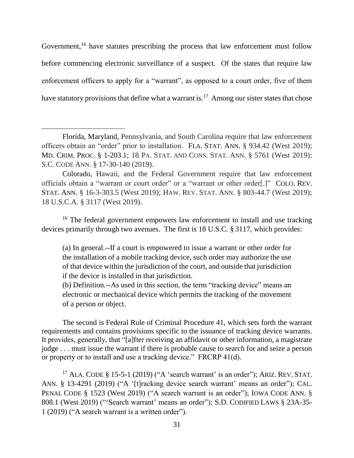Government,<sup>16</sup> have statutes prescribing the process that law enforcement must follow before commencing electronic surveillance of a suspect. Of the states that require law enforcement officers to apply for a "warrant", as opposed to a court order, five of them have statutory provisions that define what a warrant is.<sup>17</sup> Among our sister states that chose

<sup>16</sup> The federal government empowers law enforcement to install and use tracking devices primarily through two avenues. The first is 18 U.S.C. § 3117, which provides:

(a) In general.--If a court is empowered to issue a warrant or other order for the installation of a mobile tracking device, such order may authorize the use of that device within the jurisdiction of the court, and outside that jurisdiction if the device is installed in that jurisdiction.

(b) Definition.--As used in this section, the term "tracking device" means an electronic or mechanical device which permits the tracking of the movement of a person or object.

The second is Federal Rule of Criminal Procedure 41, which sets forth the warrant requirements and contains provisions specific to the issuance of tracking device warrants. It provides, generally, that "[a]fter receiving an affidavit or other information, a magistrate judge . . . must issue the warrant if there is probable cause to search for and seize a person or property or to install and use a tracking device." FRCRP 41(d).

<sup>17</sup> ALA. CODE § 15-5-1 (2019) ("A 'search warrant' is an order"); ARIZ. REV. STAT. ANN. § 13-4291 (2019) ("A '[t]racking device search warrant' means an order"); CAL. PENAL CODE § 1523 (West 2019) ("A search warrant is an order"); IOWA CODE ANN. § 808.1 (West 2019) ("'Search warrant' means an order"); S.D. CODIFIED LAWS § 23A-35- 1 (2019) ("A search warrant is a written order").

Florida, Maryland, Pennsylvania, and South Carolina require that law enforcement officers obtain an "order" prior to installation. FLA. STAT. ANN. § 934.42 (West 2019); MD. CRIM. PROC. § 1-203.1; 18 PA. STAT. AND CONS. STAT. ANN. § 5761 (West 2019); S.C. CODE ANN. § 17-30-140 (2019).

Colorado, Hawaii, and the Federal Government require that law enforcement officials obtain a "warrant or court order" or a "warrant or other order[.]" COLO. REV. STAT. ANN. § 16-3-303.5 (West 2019); HAW. REV. STAT. ANN. § 803-44.7 (West 2019); 18 U.S.C.A. § 3117 (West 2019).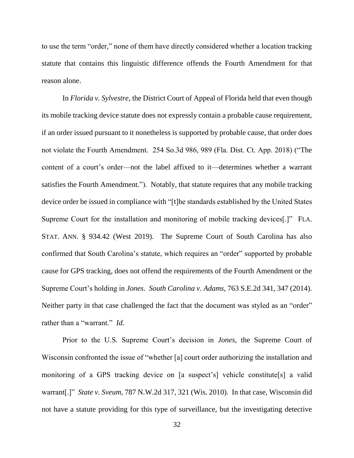to use the term "order," none of them have directly considered whether a location tracking statute that contains this linguistic difference offends the Fourth Amendment for that reason alone.

In *Florida v. Sylvestre*, the District Court of Appeal of Florida held that even though its mobile tracking device statute does not expressly contain a probable cause requirement, if an order issued pursuant to it nonetheless is supported by probable cause, that order does not violate the Fourth Amendment. 254 So.3d 986, 989 (Fla. Dist. Ct. App. 2018) ("The content of a court's order—not the label affixed to it—determines whether a warrant satisfies the Fourth Amendment."). Notably, that statute requires that any mobile tracking device order be issued in compliance with "[t]he standards established by the United States Supreme Court for the installation and monitoring of mobile tracking devices[.]" FLA. STAT. ANN. § 934.42 (West 2019). The Supreme Court of South Carolina has also confirmed that South Carolina's statute, which requires an "order" supported by probable cause for GPS tracking, does not offend the requirements of the Fourth Amendment or the Supreme Court's holding in *Jones*. *South Carolina v. Adams*, 763 S.E.2d 341, 347 (2014). Neither party in that case challenged the fact that the document was styled as an "order" rather than a "warrant." *Id.*

Prior to the U.S. Supreme Court's decision in *Jones*, the Supreme Court of Wisconsin confronted the issue of "whether [a] court order authorizing the installation and monitoring of a GPS tracking device on [a suspect's] vehicle constitute[s] a valid warrant[.]" *State v. Sveum*, 787 N.W.2d 317, 321 (Wis. 2010). In that case, Wisconsin did not have a statute providing for this type of surveillance, but the investigating detective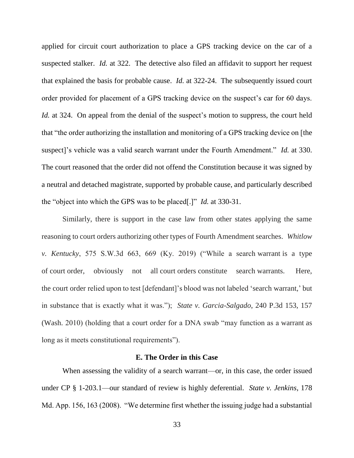applied for circuit court authorization to place a GPS tracking device on the car of a suspected stalker. *Id.* at 322. The detective also filed an affidavit to support her request that explained the basis for probable cause. *Id.* at 322-24. The subsequently issued court order provided for placement of a GPS tracking device on the suspect's car for 60 days. *Id.* at 324. On appeal from the denial of the suspect's motion to suppress, the court held that "the order authorizing the installation and monitoring of a GPS tracking device on [the suspect]'s vehicle was a valid search warrant under the Fourth Amendment." *Id.* at 330. The court reasoned that the order did not offend the Constitution because it was signed by a neutral and detached magistrate, supported by probable cause, and particularly described the "object into which the GPS was to be placed[.]" *Id.* at 330-31.

Similarly, there is support in the case law from other states applying the same reasoning to court orders authorizing other types of Fourth Amendment searches. *Whitlow v. Kentucky*, 575 S.W.3d 663, 669 (Ky. 2019) ("While a search warrant is a type of court order, obviously not all court orders constitute search warrants. Here, the court order relied upon to test [defendant]'s blood was not labeled 'search warrant,' but in substance that is exactly what it was."); *State v. Garcia-Salgado*, 240 P.3d 153, 157 (Wash. 2010) (holding that a court order for a DNA swab "may function as a warrant as long as it meets constitutional requirements").

### **E. The Order in this Case**

When assessing the validity of a search warrant—or, in this case, the order issued under CP § 1-203.1—our standard of review is highly deferential. *State v. Jenkins*, 178 Md. App. 156, 163 (2008). "We determine first whether the issuing judge had a substantial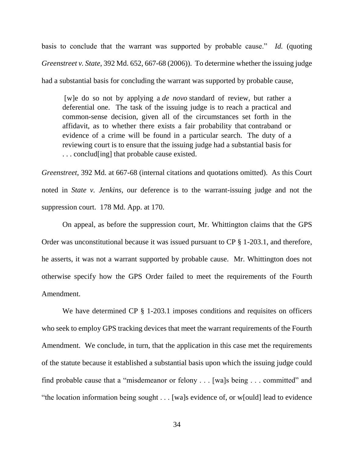basis to conclude that the warrant was supported by probable cause." *Id.* (quoting *Greenstreet v. State*, 392 Md. 652, 667-68 (2006)). To determine whether the issuing judge had a substantial basis for concluding the warrant was supported by probable cause,

[w]e do so not by applying a *de novo* standard of review, but rather a deferential one. The task of the issuing judge is to reach a practical and common-sense decision, given all of the circumstances set forth in the affidavit, as to whether there exists a fair probability that contraband or evidence of a crime will be found in a particular search. The duty of a reviewing court is to ensure that the issuing judge had a substantial basis for . . . conclud[ing] that probable cause existed.

*Greenstreet*, 392 Md. at 667-68 (internal citations and quotations omitted). As this Court noted in *State v. Jenkins*, our deference is to the warrant-issuing judge and not the suppression court. 178 Md. App. at 170.

On appeal, as before the suppression court, Mr. Whittington claims that the GPS Order was unconstitutional because it was issued pursuant to CP § 1-203.1, and therefore, he asserts, it was not a warrant supported by probable cause. Mr. Whittington does not otherwise specify how the GPS Order failed to meet the requirements of the Fourth Amendment.

We have determined CP § 1-203.1 imposes conditions and requisites on officers who seek to employ GPS tracking devices that meet the warrant requirements of the Fourth Amendment. We conclude, in turn, that the application in this case met the requirements of the statute because it established a substantial basis upon which the issuing judge could find probable cause that a "misdemeanor or felony . . . [wa]s being . . . committed" and "the location information being sought . . . [wa]s evidence of, or w[ould] lead to evidence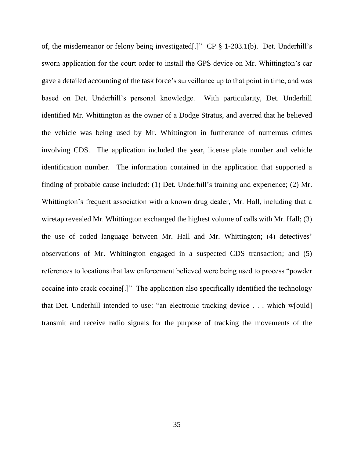of, the misdemeanor or felony being investigated[.]" CP § 1-203.1(b). Det. Underhill's sworn application for the court order to install the GPS device on Mr. Whittington's car gave a detailed accounting of the task force's surveillance up to that point in time, and was based on Det. Underhill's personal knowledge. With particularity, Det. Underhill identified Mr. Whittington as the owner of a Dodge Stratus, and averred that he believed the vehicle was being used by Mr. Whittington in furtherance of numerous crimes involving CDS. The application included the year, license plate number and vehicle identification number. The information contained in the application that supported a finding of probable cause included: (1) Det. Underhill's training and experience; (2) Mr. Whittington's frequent association with a known drug dealer, Mr. Hall, including that a wiretap revealed Mr. Whittington exchanged the highest volume of calls with Mr. Hall; (3) the use of coded language between Mr. Hall and Mr. Whittington; (4) detectives' observations of Mr. Whittington engaged in a suspected CDS transaction; and (5) references to locations that law enforcement believed were being used to process "powder cocaine into crack cocaine[.]" The application also specifically identified the technology that Det. Underhill intended to use: "an electronic tracking device . . . which w[ould] transmit and receive radio signals for the purpose of tracking the movements of the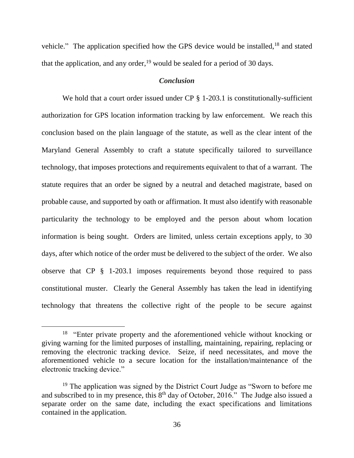vehicle." The application specified how the GPS device would be installed,<sup>18</sup> and stated that the application, and any order,  $19$  would be sealed for a period of 30 days.

### *Conclusion*

We hold that a court order issued under CP § 1-203.1 is constitutionally-sufficient authorization for GPS location information tracking by law enforcement. We reach this conclusion based on the plain language of the statute, as well as the clear intent of the Maryland General Assembly to craft a statute specifically tailored to surveillance technology, that imposes protections and requirements equivalent to that of a warrant. The statute requires that an order be signed by a neutral and detached magistrate, based on probable cause, and supported by oath or affirmation. It must also identify with reasonable particularity the technology to be employed and the person about whom location information is being sought. Orders are limited, unless certain exceptions apply, to 30 days, after which notice of the order must be delivered to the subject of the order. We also observe that CP § 1-203.1 imposes requirements beyond those required to pass constitutional muster. Clearly the General Assembly has taken the lead in identifying technology that threatens the collective right of the people to be secure against

 $\overline{a}$ 

<sup>&</sup>lt;sup>18</sup> "Enter private property and the aforementioned vehicle without knocking or giving warning for the limited purposes of installing, maintaining, repairing, replacing or removing the electronic tracking device. Seize, if need necessitates, and move the aforementioned vehicle to a secure location for the installation/maintenance of the electronic tracking device."

<sup>&</sup>lt;sup>19</sup> The application was signed by the District Court Judge as "Sworn to before me and subscribed to in my presence, this  $8<sup>th</sup>$  day of October, 2016." The Judge also issued a separate order on the same date, including the exact specifications and limitations contained in the application.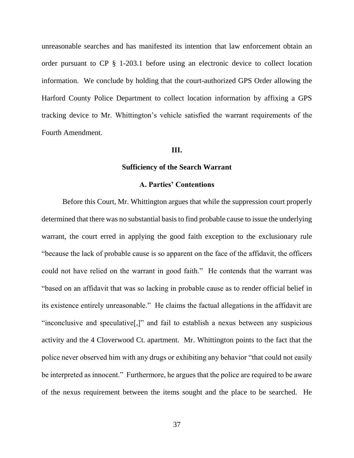unreasonable searches and has manifested its intention that law enforcement obtain an order pursuant to CP § 1-203.1 before using an electronic device to collect location information. We conclude by holding that the court-authorized GPS Order allowing the Harford County Police Department to collect location information by affixing a GPS tracking device to Mr. Whittington's vehicle satisfied the warrant requirements of the Fourth Amendment.

### **III.**

### **Sufficiency of the Search Warrant**

### **A. Parties' Contentions**

Before this Court, Mr. Whittington argues that while the suppression court properly determined that there was no substantial basis to find probable cause to issue the underlying warrant, the court erred in applying the good faith exception to the exclusionary rule "because the lack of probable cause is so apparent on the face of the affidavit, the officers could not have relied on the warrant in good faith." He contends that the warrant was "based on an affidavit that was so lacking in probable cause as to render official belief in its existence entirely unreasonable." He claims the factual allegations in the affidavit are "inconclusive and speculative[,]" and fail to establish a nexus between any suspicious activity and the 4 Cloverwood Ct. apartment. Mr. Whittington points to the fact that the police never observed him with any drugs or exhibiting any behavior "that could not easily be interpreted as innocent." Furthermore, he argues that the police are required to be aware of the nexus requirement between the items sought and the place to be searched. He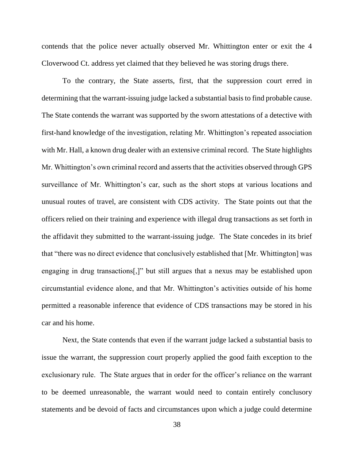contends that the police never actually observed Mr. Whittington enter or exit the 4 Cloverwood Ct. address yet claimed that they believed he was storing drugs there.

To the contrary, the State asserts, first, that the suppression court erred in determining that the warrant-issuing judge lacked a substantial basis to find probable cause. The State contends the warrant was supported by the sworn attestations of a detective with first-hand knowledge of the investigation, relating Mr. Whittington's repeated association with Mr. Hall, a known drug dealer with an extensive criminal record. The State highlights Mr. Whittington's own criminal record and asserts that the activities observed through GPS surveillance of Mr. Whittington's car, such as the short stops at various locations and unusual routes of travel, are consistent with CDS activity. The State points out that the officers relied on their training and experience with illegal drug transactions as set forth in the affidavit they submitted to the warrant-issuing judge. The State concedes in its brief that "there was no direct evidence that conclusively established that [Mr. Whittington] was engaging in drug transactions[,]" but still argues that a nexus may be established upon circumstantial evidence alone, and that Mr. Whittington's activities outside of his home permitted a reasonable inference that evidence of CDS transactions may be stored in his car and his home.

Next, the State contends that even if the warrant judge lacked a substantial basis to issue the warrant, the suppression court properly applied the good faith exception to the exclusionary rule. The State argues that in order for the officer's reliance on the warrant to be deemed unreasonable, the warrant would need to contain entirely conclusory statements and be devoid of facts and circumstances upon which a judge could determine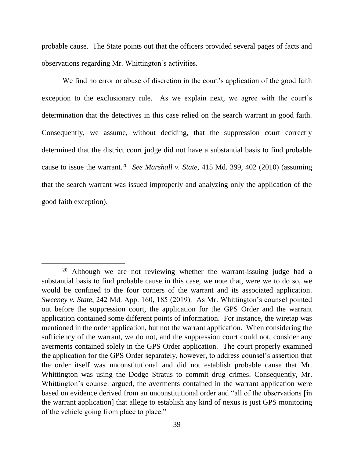probable cause. The State points out that the officers provided several pages of facts and observations regarding Mr. Whittington's activities.

We find no error or abuse of discretion in the court's application of the good faith exception to the exclusionary rule. As we explain next, we agree with the court's determination that the detectives in this case relied on the search warrant in good faith. Consequently, we assume, without deciding, that the suppression court correctly determined that the district court judge did not have a substantial basis to find probable cause to issue the warrant.<sup>20</sup> *See Marshall v. State*, 415 Md. 399, 402 (2010) (assuming that the search warrant was issued improperly and analyzing only the application of the good faith exception).

<sup>&</sup>lt;sup>20</sup> Although we are not reviewing whether the warrant-issuing judge had a substantial basis to find probable cause in this case, we note that, were we to do so, we would be confined to the four corners of the warrant and its associated application. *Sweeney v. State*, 242 Md. App. 160, 185 (2019). As Mr. Whittington's counsel pointed out before the suppression court, the application for the GPS Order and the warrant application contained some different points of information. For instance, the wiretap was mentioned in the order application, but not the warrant application. When considering the sufficiency of the warrant, we do not, and the suppression court could not, consider any averments contained solely in the GPS Order application. The court properly examined the application for the GPS Order separately, however, to address counsel's assertion that the order itself was unconstitutional and did not establish probable cause that Mr. Whittington was using the Dodge Stratus to commit drug crimes. Consequently, Mr. Whittington's counsel argued, the averments contained in the warrant application were based on evidence derived from an unconstitutional order and "all of the observations [in the warrant application] that allege to establish any kind of nexus is just GPS monitoring of the vehicle going from place to place."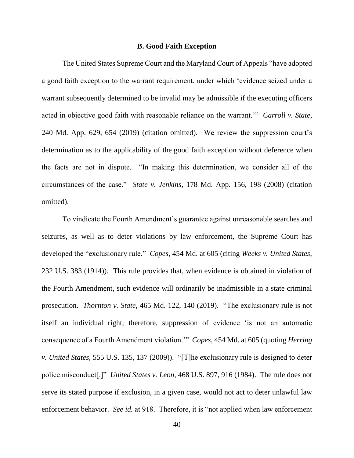#### **B. Good Faith Exception**

The United States Supreme Court and the Maryland Court of Appeals "have adopted a good faith exception to the warrant requirement, under which 'evidence seized under a warrant subsequently determined to be invalid may be admissible if the executing officers acted in objective good faith with reasonable reliance on the warrant.'" *Carroll v. State*, 240 Md. App. 629, 654 (2019) (citation omitted). We review the suppression court's determination as to the applicability of the good faith exception without deference when the facts are not in dispute. "In making this determination, we consider all of the circumstances of the case." *State v. Jenkins*, 178 Md. App. 156, 198 (2008) (citation omitted).

To vindicate the Fourth Amendment's guarantee against unreasonable searches and seizures, as well as to deter violations by law enforcement, the Supreme Court has developed the "exclusionary rule." *Copes*, 454 Md. at 605 (citing *Weeks v. United States*, 232 U.S. 383 (1914)). This rule provides that, when evidence is obtained in violation of the Fourth Amendment, such evidence will ordinarily be inadmissible in a state criminal prosecution. *Thornton v. State*, 465 Md. 122, 140 (2019). "The exclusionary rule is not itself an individual right; therefore, suppression of evidence 'is not an automatic consequence of a Fourth Amendment violation.'" *Copes*, 454 Md. at 605 (quoting *Herring v. United States*, 555 U.S. 135, 137 (2009)). "[T]he exclusionary rule is designed to deter police misconduct[.]" *United States v. Leon*, 468 U.S. 897, 916 (1984). The rule does not serve its stated purpose if exclusion, in a given case, would not act to deter unlawful law enforcement behavior. *See id.* at 918. Therefore, it is "not applied when law enforcement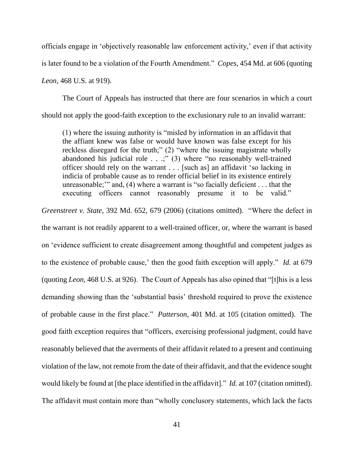officials engage in 'objectively reasonable law enforcement activity,' even if that activity is later found to be a violation of the Fourth Amendment." *Copes*, 454 Md. at 606 (quoting *Leon*, 468 U.S. at 919).

The Court of Appeals has instructed that there are four scenarios in which a court should not apply the good-faith exception to the exclusionary rule to an invalid warrant:

(1) where the issuing authority is "misled by information in an affidavit that the affiant knew was false or would have known was false except for his reckless disregard for the truth;" (2) "where the issuing magistrate wholly abandoned his judicial role . . .;" (3) where "no reasonably well-trained officer should rely on the warrant . . . [such as] an affidavit 'so lacking in indicia of probable cause as to render official belief in its existence entirely unreasonable;'" and, (4) where a warrant is "so facially deficient . . . that the executing officers cannot reasonably presume it to be valid."

*Greenstreet v. State*, 392 Md. 652, 679 (2006) (citations omitted). "Where the defect in the warrant is not readily apparent to a well-trained officer, or, where the warrant is based on 'evidence sufficient to create disagreement among thoughtful and competent judges as to the existence of probable cause,' then the good faith exception will apply." *Id.* at 679 (quoting *Leon*, 468 U.S. at 926). The Court of Appeals has also opined that "[t]his is a less demanding showing than the 'substantial basis' threshold required to prove the existence of probable cause in the first place." *Patterson*, 401 Md. at 105 (citation omitted). The good faith exception requires that "officers, exercising professional judgment, could have reasonably believed that the averments of their affidavit related to a present and continuing violation of the law, not remote from the date of their affidavit, and that the evidence sought would likely be found at [the place identified in the affidavit]." *Id.* at 107 (citation omitted). The affidavit must contain more than "wholly conclusory statements, which lack the facts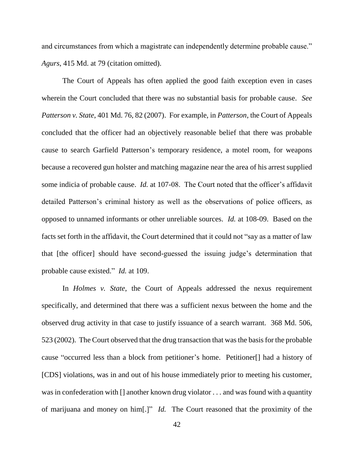and circumstances from which a magistrate can independently determine probable cause." *Agurs*, 415 Md. at 79 (citation omitted).

The Court of Appeals has often applied the good faith exception even in cases wherein the Court concluded that there was no substantial basis for probable cause. *See Patterson v. State*, 401 Md. 76, 82 (2007). For example, in *Patterson*, the Court of Appeals concluded that the officer had an objectively reasonable belief that there was probable cause to search Garfield Patterson's temporary residence, a motel room, for weapons because a recovered gun holster and matching magazine near the area of his arrest supplied some indicia of probable cause. *Id.* at 107-08. The Court noted that the officer's affidavit detailed Patterson's criminal history as well as the observations of police officers, as opposed to unnamed informants or other unreliable sources. *Id.* at 108-09. Based on the facts set forth in the affidavit, the Court determined that it could not "say as a matter of law that [the officer] should have second-guessed the issuing judge's determination that probable cause existed." *Id.* at 109.

In *Holmes v. State*, the Court of Appeals addressed the nexus requirement specifically, and determined that there was a sufficient nexus between the home and the observed drug activity in that case to justify issuance of a search warrant. 368 Md. 506, 523 (2002). The Court observed that the drug transaction that was the basis for the probable cause "occurred less than a block from petitioner's home. Petitioner[] had a history of [CDS] violations, was in and out of his house immediately prior to meeting his customer, was in confederation with [] another known drug violator . . . and was found with a quantity of marijuana and money on him[.]" *Id.* The Court reasoned that the proximity of the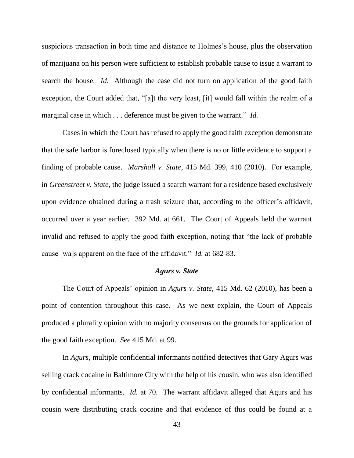suspicious transaction in both time and distance to Holmes's house, plus the observation of marijuana on his person were sufficient to establish probable cause to issue a warrant to search the house. *Id.* Although the case did not turn on application of the good faith exception, the Court added that, "[a]t the very least, [it] would fall within the realm of a marginal case in which . . . deference must be given to the warrant." *Id.*

Cases in which the Court has refused to apply the good faith exception demonstrate that the safe harbor is foreclosed typically when there is no or little evidence to support a finding of probable cause. *Marshall v. State*, 415 Md. 399, 410 (2010). For example, in *Greenstreet v. State*, the judge issued a search warrant for a residence based exclusively upon evidence obtained during a trash seizure that, according to the officer's affidavit, occurred over a year earlier. 392 Md. at 661. The Court of Appeals held the warrant invalid and refused to apply the good faith exception, noting that "the lack of probable cause [wa]s apparent on the face of the affidavit." *Id.* at 682-83.

#### *Agurs v. State*

The Court of Appeals' opinion in *Agurs v. State*, 415 Md. 62 (2010), has been a point of contention throughout this case. As we next explain, the Court of Appeals produced a plurality opinion with no majority consensus on the grounds for application of the good faith exception. *See* 415 Md. at 99.

In *Agurs*, multiple confidential informants notified detectives that Gary Agurs was selling crack cocaine in Baltimore City with the help of his cousin, who was also identified by confidential informants. *Id.* at 70. The warrant affidavit alleged that Agurs and his cousin were distributing crack cocaine and that evidence of this could be found at a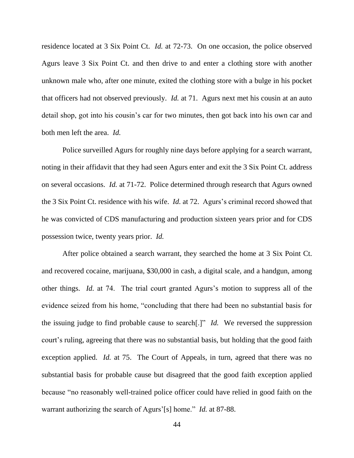residence located at 3 Six Point Ct. *Id.* at 72-73. On one occasion, the police observed Agurs leave 3 Six Point Ct. and then drive to and enter a clothing store with another unknown male who, after one minute, exited the clothing store with a bulge in his pocket that officers had not observed previously. *Id.* at 71. Agurs next met his cousin at an auto detail shop, got into his cousin's car for two minutes, then got back into his own car and both men left the area. *Id.*

Police surveilled Agurs for roughly nine days before applying for a search warrant, noting in their affidavit that they had seen Agurs enter and exit the 3 Six Point Ct. address on several occasions. *Id.* at 71-72. Police determined through research that Agurs owned the 3 Six Point Ct. residence with his wife. *Id.* at 72. Agurs's criminal record showed that he was convicted of CDS manufacturing and production sixteen years prior and for CDS possession twice, twenty years prior. *Id.*

After police obtained a search warrant, they searched the home at 3 Six Point Ct. and recovered cocaine, marijuana, \$30,000 in cash, a digital scale, and a handgun, among other things. *Id.* at 74. The trial court granted Agurs's motion to suppress all of the evidence seized from his home, "concluding that there had been no substantial basis for the issuing judge to find probable cause to search[.]" *Id.* We reversed the suppression court's ruling, agreeing that there was no substantial basis, but holding that the good faith exception applied. *Id.* at 75. The Court of Appeals, in turn, agreed that there was no substantial basis for probable cause but disagreed that the good faith exception applied because "no reasonably well-trained police officer could have relied in good faith on the warrant authorizing the search of Agurs'[s] home." *Id.* at 87-88.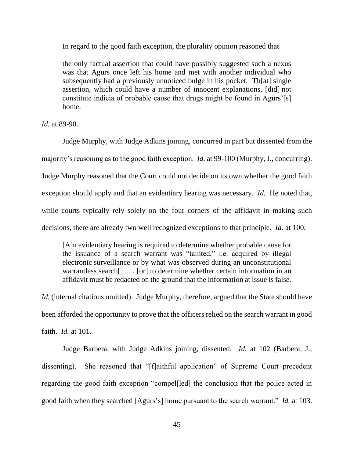In regard to the good faith exception, the plurality opinion reasoned that

the only factual assertion that could have possibly suggested such a nexus was that Agurs once left his home and met with another individual who subsequently had a previously unnoticed bulge in his pocket. Th[at] single assertion, which could have a number of innocent explanations, [did] not constitute indicia of probable cause that drugs might be found in Agurs'[s] home.

*Id.* at 89-90.

Judge Murphy, with Judge Adkins joining, concurred in part but dissented from the majority's reasoning as to the good faith exception. *Id.* at 99-100 (Murphy, J., concurring). Judge Murphy reasoned that the Court could not decide on its own whether the good faith exception should apply and that an evidentiary hearing was necessary. *Id.* He noted that, while courts typically rely solely on the four corners of the affidavit in making such decisions, there are already two well recognized exceptions to that principle. *Id.* at 100.

[A]n evidentiary hearing is required to determine whether probable cause for the issuance of a search warrant was "tainted," i.e. acquired by illegal electronic surveillance or by what was observed during an unconstitutional warrantless search[] . . . [or] to determine whether certain information in an affidavit must be redacted on the ground that the information at issue is false.

*Id.* (internal citations omitted). Judge Murphy, therefore, argued that the State should have been afforded the opportunity to prove that the officers relied on the search warrant in good faith. *Id.* at 101.

Judge Barbera, with Judge Adkins joining, dissented. *Id.* at 102 (Barbera, J., dissenting). She reasoned that "[f]aithful application" of Supreme Court precedent regarding the good faith exception "compel[led] the conclusion that the police acted in good faith when they searched [Agurs's] home pursuant to the search warrant." *Id.* at 103.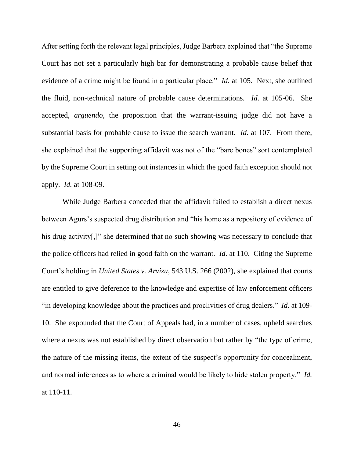After setting forth the relevant legal principles, Judge Barbera explained that "the Supreme Court has not set a particularly high bar for demonstrating a probable cause belief that evidence of a crime might be found in a particular place." *Id.* at 105. Next, she outlined the fluid, non-technical nature of probable cause determinations. *Id.* at 105-06. She accepted, *arguendo*, the proposition that the warrant-issuing judge did not have a substantial basis for probable cause to issue the search warrant. *Id.* at 107. From there, she explained that the supporting affidavit was not of the "bare bones" sort contemplated by the Supreme Court in setting out instances in which the good faith exception should not apply. *Id.* at 108-09.

While Judge Barbera conceded that the affidavit failed to establish a direct nexus between Agurs's suspected drug distribution and "his home as a repository of evidence of his drug activity.]" she determined that no such showing was necessary to conclude that the police officers had relied in good faith on the warrant. *Id.* at 110. Citing the Supreme Court's holding in *United States v. Arvizu*, 543 U.S. 266 (2002), she explained that courts are entitled to give deference to the knowledge and expertise of law enforcement officers "in developing knowledge about the practices and proclivities of drug dealers." *Id.* at 109- 10. She expounded that the Court of Appeals had, in a number of cases, upheld searches where a nexus was not established by direct observation but rather by "the type of crime, the nature of the missing items, the extent of the suspect's opportunity for concealment, and normal inferences as to where a criminal would be likely to hide stolen property." *Id.* at 110-11.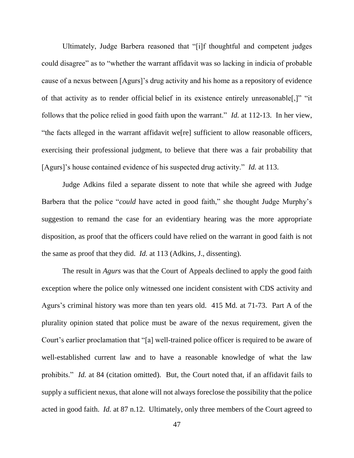Ultimately, Judge Barbera reasoned that "[i]f thoughtful and competent judges could disagree" as to "whether the warrant affidavit was so lacking in indicia of probable cause of a nexus between [Agurs]'s drug activity and his home as a repository of evidence of that activity as to render official belief in its existence entirely unreasonable[,]" "it follows that the police relied in good faith upon the warrant." *Id.* at 112-13. In her view, "the facts alleged in the warrant affidavit we[re] sufficient to allow reasonable officers, exercising their professional judgment, to believe that there was a fair probability that [Agurs]'s house contained evidence of his suspected drug activity." *Id.* at 113.

Judge Adkins filed a separate dissent to note that while she agreed with Judge Barbera that the police "*could* have acted in good faith," she thought Judge Murphy's suggestion to remand the case for an evidentiary hearing was the more appropriate disposition, as proof that the officers could have relied on the warrant in good faith is not the same as proof that they did. *Id.* at 113 (Adkins, J., dissenting).

The result in *Agurs* was that the Court of Appeals declined to apply the good faith exception where the police only witnessed one incident consistent with CDS activity and Agurs's criminal history was more than ten years old. 415 Md. at 71-73. Part A of the plurality opinion stated that police must be aware of the nexus requirement, given the Court's earlier proclamation that "[a] well-trained police officer is required to be aware of well-established current law and to have a reasonable knowledge of what the law prohibits." *Id.* at 84 (citation omitted). But, the Court noted that, if an affidavit fails to supply a sufficient nexus, that alone will not always foreclose the possibility that the police acted in good faith. *Id.* at 87 n.12. Ultimately, only three members of the Court agreed to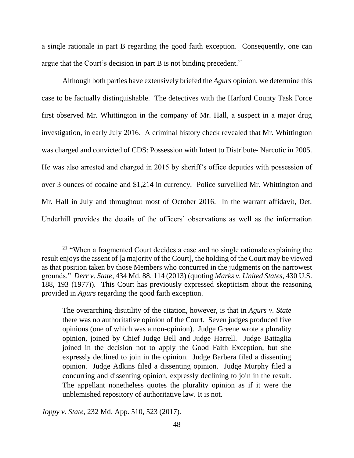a single rationale in part B regarding the good faith exception. Consequently, one can argue that the Court's decision in part B is not binding precedent.<sup>21</sup>

Although both parties have extensively briefed the *Agurs* opinion, we determine this case to be factually distinguishable. The detectives with the Harford County Task Force first observed Mr. Whittington in the company of Mr. Hall, a suspect in a major drug investigation, in early July 2016. A criminal history check revealed that Mr. Whittington was charged and convicted of CDS: Possession with Intent to Distribute- Narcotic in 2005. He was also arrested and charged in 2015 by sheriff's office deputies with possession of over 3 ounces of cocaine and \$1,214 in currency. Police surveilled Mr. Whittington and Mr. Hall in July and throughout most of October 2016. In the warrant affidavit, Det. Underhill provides the details of the officers' observations as well as the information

*Joppy v. State*, 232 Md. App. 510, 523 (2017).

<sup>&</sup>lt;sup>21</sup> "When a fragmented Court decides a case and no single rationale explaining the result enjoys the assent of [a majority of the Court], the holding of the Court may be viewed as that position taken by those Members who concurred in the judgments on the narrowest grounds." *Derr v. State*, 434 Md. 88, 114 (2013) (quoting *Marks v. United States*, 430 U.S. 188, 193 (1977)). This Court has previously expressed skepticism about the reasoning provided in *Agurs* regarding the good faith exception.

The overarching disutility of the citation, however, is that in *Agurs v. State* there was no authoritative opinion of the Court. Seven judges produced five opinions (one of which was a non-opinion). Judge Greene wrote a plurality opinion, joined by Chief Judge Bell and Judge Harrell. Judge Battaglia joined in the decision not to apply the Good Faith Exception, but she expressly declined to join in the opinion. Judge Barbera filed a dissenting opinion. Judge Adkins filed a dissenting opinion. Judge Murphy filed a concurring and dissenting opinion, expressly declining to join in the result. The appellant nonetheless quotes the plurality opinion as if it were the unblemished repository of authoritative law. It is not.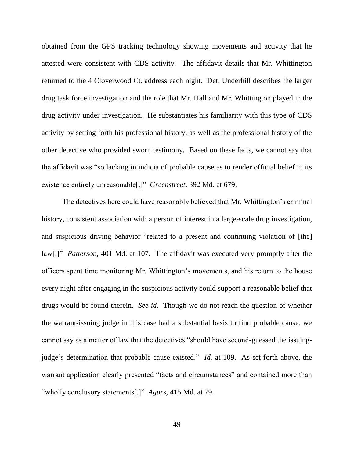obtained from the GPS tracking technology showing movements and activity that he attested were consistent with CDS activity. The affidavit details that Mr. Whittington returned to the 4 Cloverwood Ct. address each night. Det. Underhill describes the larger drug task force investigation and the role that Mr. Hall and Mr. Whittington played in the drug activity under investigation. He substantiates his familiarity with this type of CDS activity by setting forth his professional history, as well as the professional history of the other detective who provided sworn testimony. Based on these facts, we cannot say that the affidavit was "so lacking in indicia of probable cause as to render official belief in its existence entirely unreasonable[.]" *Greenstreet*, 392 Md. at 679.

The detectives here could have reasonably believed that Mr. Whittington's criminal history, consistent association with a person of interest in a large-scale drug investigation, and suspicious driving behavior "related to a present and continuing violation of [the] law[.]" *Patterson*, 401 Md. at 107. The affidavit was executed very promptly after the officers spent time monitoring Mr. Whittington's movements, and his return to the house every night after engaging in the suspicious activity could support a reasonable belief that drugs would be found therein. *See id.* Though we do not reach the question of whether the warrant-issuing judge in this case had a substantial basis to find probable cause, we cannot say as a matter of law that the detectives "should have second-guessed the issuingjudge's determination that probable cause existed." *Id.* at 109. As set forth above, the warrant application clearly presented "facts and circumstances" and contained more than "wholly conclusory statements[.]" *Agurs*, 415 Md. at 79.